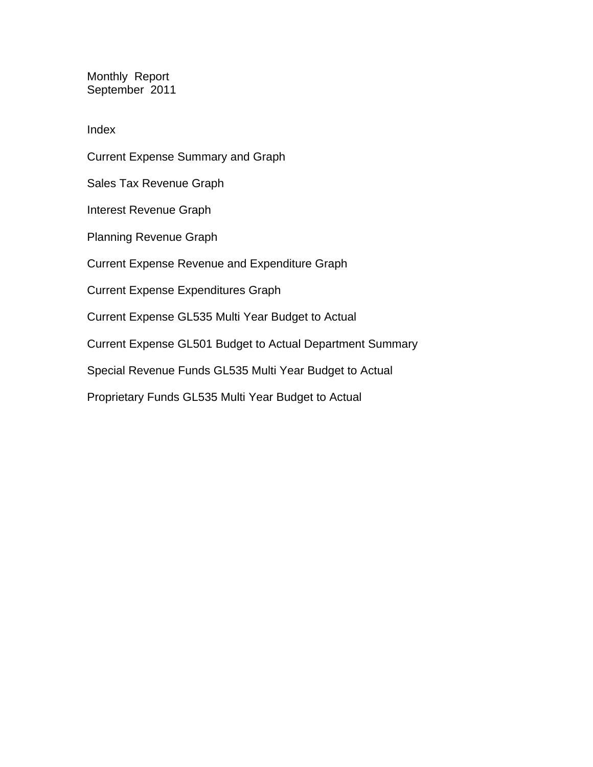Monthly Report September 2011

Index

Current Expense Summary and Graph Sales Tax Revenue Graph Interest Revenue Graph Planning Revenue Graph Current Expense Revenue and Expenditure Graph Current Expense Expenditures Graph Current Expense GL535 Multi Year Budget to Actual Current Expense GL501 Budget to Actual Department Summary Special Revenue Funds GL535 Multi Year Budget to Actual Proprietary Funds GL535 Multi Year Budget to Actual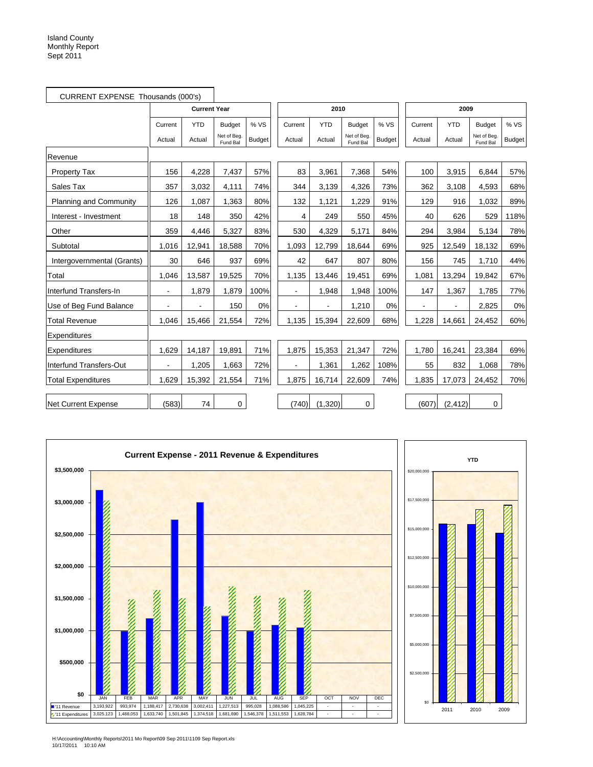|                               | CURRENT EXPENSE Thousands (000's) |                     |                         |               |         |            |                         |               |         |            |                         |               |
|-------------------------------|-----------------------------------|---------------------|-------------------------|---------------|---------|------------|-------------------------|---------------|---------|------------|-------------------------|---------------|
|                               |                                   | <b>Current Year</b> |                         |               |         | 2010       |                         |               |         | 2009       |                         |               |
|                               | Current                           | <b>YTD</b>          | <b>Budget</b>           | %VS           | Current | <b>YTD</b> | <b>Budget</b>           | % VS          | Current | <b>YTD</b> | <b>Budget</b>           | % VS          |
|                               | Actual                            | Actual              | Net of Beg.<br>Fund Bal | <b>Budget</b> | Actual  | Actual     | Net of Beg.<br>Fund Bal | <b>Budget</b> | Actual  | Actual     | Net of Beg.<br>Fund Bal | <b>Budget</b> |
| Revenue                       |                                   |                     |                         |               |         |            |                         |               |         |            |                         |               |
| <b>Property Tax</b>           | 156                               | 4,228               | 7,437                   | 57%           | 83      | 3,961      | 7,368                   | 54%           | 100     | 3,915      | 6.844                   | 57%           |
| Sales Tax                     | 357                               | 3,032               | 4,111                   | 74%           | 344     | 3,139      | 4,326                   | 73%           | 362     | 3,108      | 4.593                   | 68%           |
| <b>Planning and Community</b> | 126                               | 1,087               | 1,363                   | 80%           | 132     | 1,121      | 1,229                   | 91%           | 129     | 916        | 1,032                   | 89%           |
| Interest - Investment         | 18                                | 148                 | 350                     | 42%           | 4       | 249        | 550                     | 45%           | 40      | 626        | 529                     | 118%          |
| Other                         | 359                               | 4,446               | 5,327                   | 83%           | 530     | 4,329      | 5,171                   | 84%           | 294     | 3,984      | 5,134                   | 78%           |
| Subtotal                      | 1,016                             | 12,941              | 18,588                  | 70%           | 1,093   | 12,799     | 18,644                  | 69%           | 925     | 12,549     | 18,132                  | 69%           |
| Intergovernmental (Grants)    | 30                                | 646                 | 937                     | 69%           | 42      | 647        | 807                     | 80%           | 156     | 745        | 1,710                   | 44%           |
| Total                         | 1,046                             | 13,587              | 19,525                  | 70%           | 1,135   | 13,446     | 19,451                  | 69%           | 1,081   | 13,294     | 19,842                  | 67%           |
| Interfund Transfers-In        | $\blacksquare$                    | 1.879               | 1,879                   | 100%          |         | 1,948      | 1,948                   | 100%          | 147     | 1,367      | 1.785                   | 77%           |
| Use of Beg Fund Balance       | $\blacksquare$                    | $\blacksquare$      | 150                     | 0%            |         |            | 1,210                   | 0%            |         | ä,         | 2,825                   | 0%            |
| <b>Total Revenue</b>          | 1,046                             | 15,466              | 21,554                  | 72%           | 1,135   | 15,394     | 22,609                  | 68%           | 1,228   | 14,661     | 24,452                  | 60%           |
| Expenditures                  |                                   |                     |                         |               |         |            |                         |               |         |            |                         |               |
| Expenditures                  | 1,629                             | 14,187              | 19,891                  | 71%           | 1,875   | 15,353     | 21,347                  | 72%           | 1,780   | 16,241     | 23,384                  | 69%           |
| Interfund Transfers-Out       |                                   | 1,205               | 1,663                   | 72%           |         | 1,361      | 1,262                   | 108%          | 55      | 832        | 1,068                   | 78%           |
| <b>Total Expenditures</b>     | 1,629                             | 15,392              | 21,554                  | 71%           | 1,875   | 16,714     | 22,609                  | 74%           | 1,835   | 17,073     | 24,452                  | 70%           |
| <b>Net Current Expense</b>    | (583)                             | 74                  | $\mathbf 0$             |               | (740)   | (1,320)    | 0                       |               | (607)   | (2, 412)   | $\mathbf 0$             |               |





H:\Accounting\Monthly Reports\2011 Mo Report\09 Sep 2011\1109 Sep Report.xls 10/17/2011 10:10 AM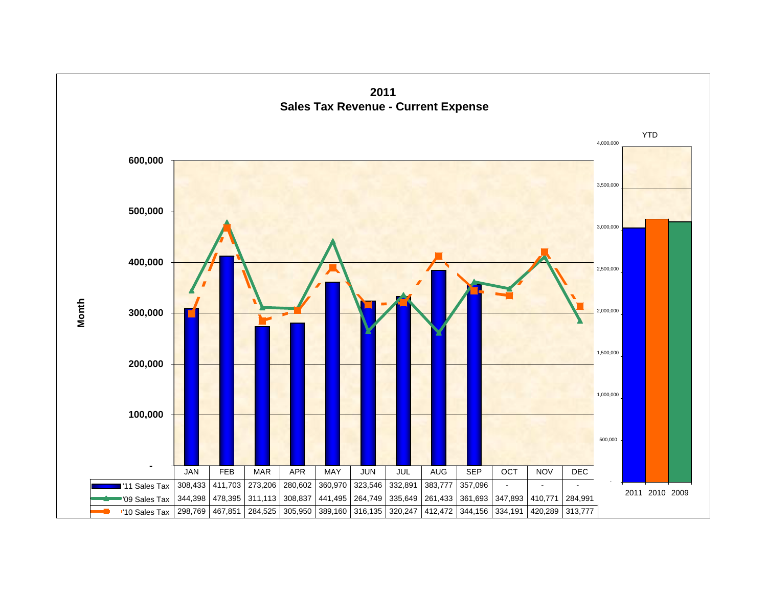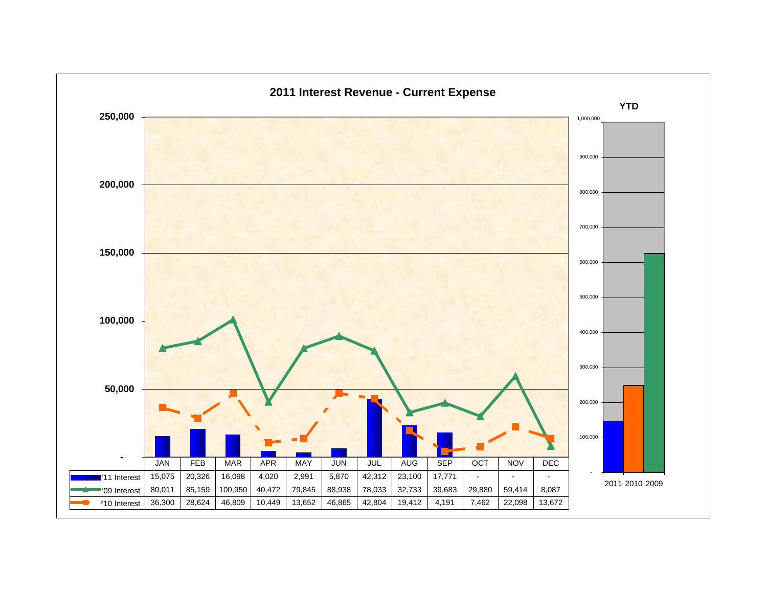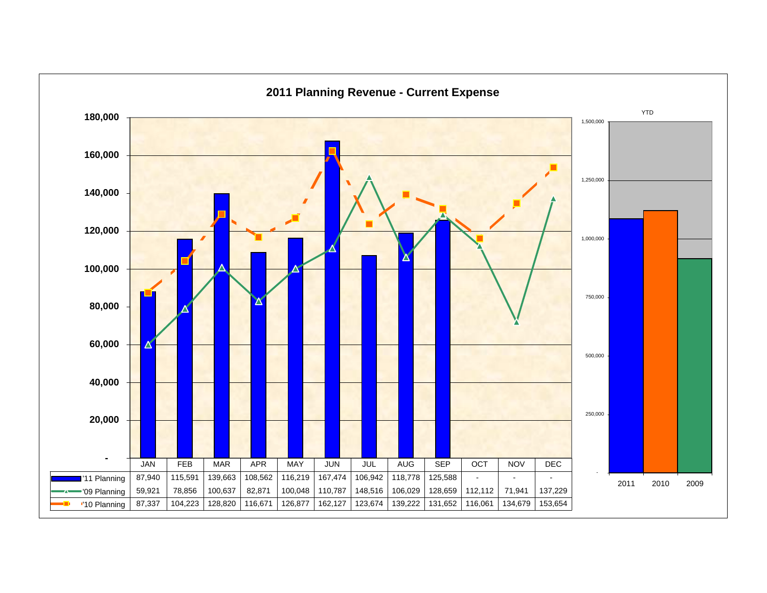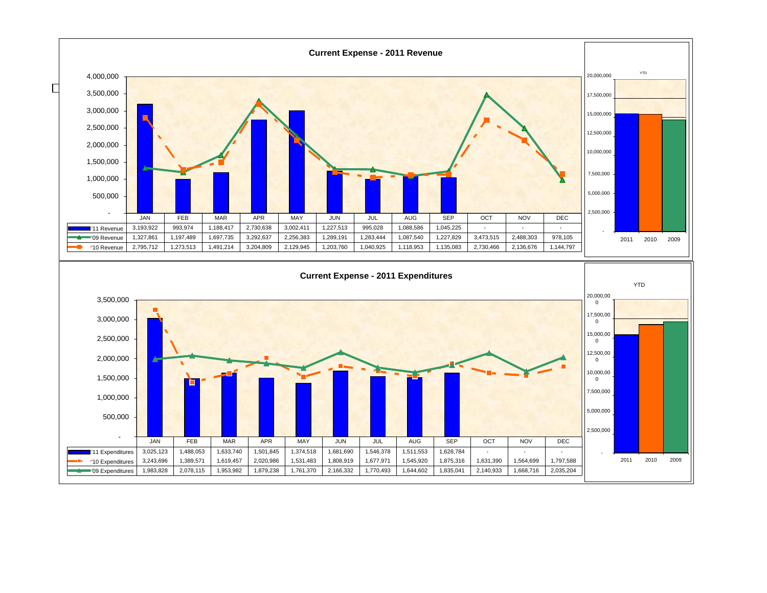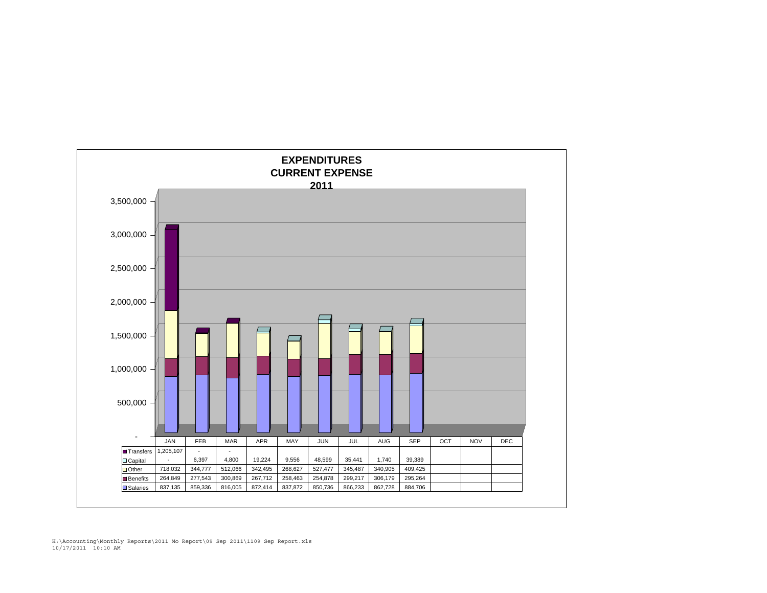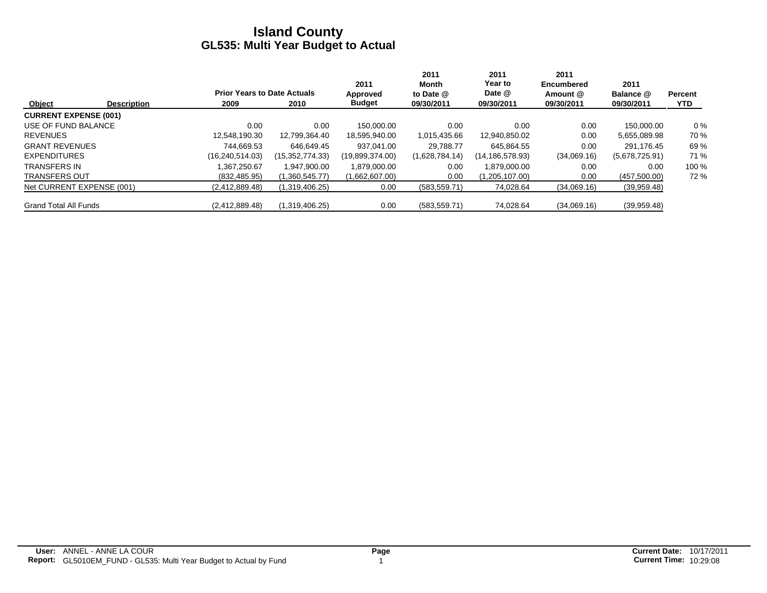|                              |                    |                                    |                 | 2011            | 2011<br>Month  | 2011<br>Year to | 2011<br><b>Encumbered</b> | 2011           |                |
|------------------------------|--------------------|------------------------------------|-----------------|-----------------|----------------|-----------------|---------------------------|----------------|----------------|
|                              |                    | <b>Prior Years to Date Actuals</b> |                 | Approved        | to Date @      | Date @          | Amount @                  | Balance @      | <b>Percent</b> |
| Object                       | <b>Description</b> | 2009                               | 2010            | <b>Budget</b>   | 09/30/2011     | 09/30/2011      | 09/30/2011                | 09/30/2011     | <b>YTD</b>     |
| <b>CURRENT EXPENSE (001)</b> |                    |                                    |                 |                 |                |                 |                           |                |                |
| USE OF FUND BALANCE          |                    | 0.00                               | 0.00            | 150.000.00      | 0.00           | 0.00            | 0.00                      | 150.000.00     | $0\%$          |
| <b>REVENUES</b>              |                    | 12,548,190.30                      | 12,799,364.40   | 18,595,940.00   | 1,015,435.66   | 12,940,850.02   | 0.00                      | 5,655,089.98   | 70 %           |
| <b>GRANT REVENUES</b>        |                    | 744.669.53                         | 646.649.45      | 937.041.00      | 29.788.77      | 645.864.55      | 0.00                      | 291.176.45     | 69 %           |
| <b>EXPENDITURES</b>          |                    | (16, 240, 514.03)                  | (15,352,774.33) | (19,899,374.00) | (1,628,784.14) | (14,186,578.93) | (34,069.16)               | (5,678,725.91) | 71 %           |
| <b>TRANSFERS IN</b>          |                    | .367.250.67                        | 1.947.900.00    | 1,879,000.00    | 0.00           | 1.879.000.00    | 0.00                      | 0.00           | 100 %          |
| <b>TRANSFERS OUT</b>         |                    | (832, 485.95)                      | (1,360,545.77)  | (1,662,607.00)  | 0.00           | (1,205,107.00)  | 0.00                      | (457,500.00)   | 72%            |
| Net CURRENT EXPENSE (001)    |                    | (2,412,889.48)                     | (1,319,406.25)  | 0.00            | (583, 559.71)  | 74,028.64       | (34,069.16)               | (39,959.48)    |                |
| <b>Grand Total All Funds</b> |                    | (2,412,889.48)                     | (1,319,406.25)  | 0.00            | (583, 559.71)  | 74.028.64       | (34,069.16)               | (39,959.48)    |                |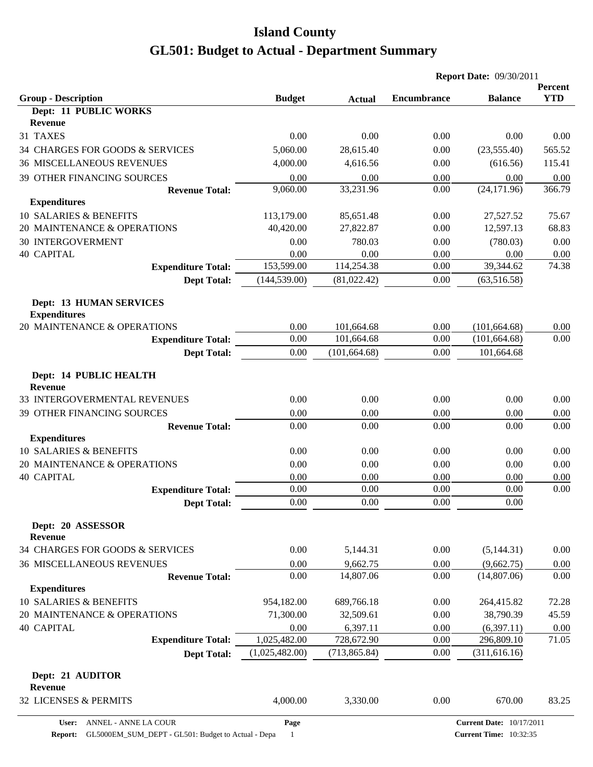|                                                       |                |               | <b>Report Date: 09/30/2011</b> |                                 |                       |
|-------------------------------------------------------|----------------|---------------|--------------------------------|---------------------------------|-----------------------|
| <b>Group - Description</b>                            | <b>Budget</b>  | <b>Actual</b> | <b>Encumbrance</b>             | <b>Balance</b>                  | Percent<br><b>YTD</b> |
| Dept: 11 PUBLIC WORKS                                 |                |               |                                |                                 |                       |
| <b>Revenue</b>                                        |                |               |                                |                                 |                       |
| 31 TAXES                                              | 0.00           | 0.00          | 0.00                           | 0.00                            | 0.00                  |
| 34 CHARGES FOR GOODS & SERVICES                       | 5,060.00       | 28,615.40     | 0.00                           | (23, 555.40)                    | 565.52                |
| <b>36 MISCELLANEOUS REVENUES</b>                      | 4,000.00       | 4,616.56      | 0.00                           | (616.56)                        | 115.41                |
| 39 OTHER FINANCING SOURCES                            | 0.00           | 0.00          | 0.00                           | 0.00                            | 0.00                  |
| <b>Revenue Total:</b>                                 | 9,060.00       | 33,231.96     | 0.00                           | (24, 171.96)                    | 366.79                |
| <b>Expenditures</b>                                   |                |               |                                |                                 |                       |
| 10 SALARIES & BENEFITS                                | 113,179.00     | 85,651.48     | 0.00                           | 27,527.52                       | 75.67                 |
| 20 MAINTENANCE & OPERATIONS                           | 40,420.00      | 27,822.87     | 0.00                           | 12,597.13                       | 68.83                 |
| <b>30 INTERGOVERMENT</b>                              | 0.00           | 780.03        | 0.00                           | (780.03)                        | 0.00                  |
| <b>40 CAPITAL</b>                                     | 0.00           | 0.00          | 0.00                           | 0.00                            | 0.00                  |
| <b>Expenditure Total:</b>                             | 153,599.00     | 114,254.38    | 0.00                           | 39,344.62                       | 74.38                 |
| <b>Dept Total:</b>                                    | (144, 539.00)  | (81,022.42)   | 0.00                           | (63, 516.58)                    |                       |
| <b>Dept: 13 HUMAN SERVICES</b><br><b>Expenditures</b> |                |               |                                |                                 |                       |
| 20 MAINTENANCE & OPERATIONS                           | 0.00           | 101,664.68    | 0.00                           | (101, 664.68)                   | 0.00                  |
| <b>Expenditure Total:</b>                             | 0.00           | 101,664.68    | 0.00                           | (101, 664.68)                   | 0.00                  |
| <b>Dept Total:</b>                                    | 0.00           | (101, 664.68) | 0.00                           | 101,664.68                      |                       |
| Dept: 14 PUBLIC HEALTH<br><b>Revenue</b>              |                |               |                                |                                 |                       |
| 33 INTERGOVERMENTAL REVENUES                          | 0.00           | 0.00          | 0.00                           | 0.00                            | 0.00                  |
| 39 OTHER FINANCING SOURCES                            | 0.00           | 0.00          | 0.00                           | 0.00                            | 0.00                  |
| <b>Revenue Total:</b>                                 | 0.00           | 0.00          | 0.00                           | 0.00                            | 0.00                  |
| <b>Expenditures</b>                                   |                |               |                                |                                 |                       |
| 10 SALARIES & BENEFITS                                | 0.00           | 0.00          | 0.00                           | 0.00                            | 0.00                  |
| 20 MAINTENANCE & OPERATIONS                           | 0.00           | 0.00          | 0.00                           | 0.00                            | 0.00                  |
| <b>40 CAPITAL</b>                                     | 0.00           | 0.00          | 0.00                           | 0.00                            | 0.00                  |
| <b>Expenditure Total:</b>                             | 0.00           | 0.00          | 0.00                           | 0.00                            | 0.00                  |
| <b>Dept Total:</b>                                    | 0.00           | 0.00          | 0.00                           | 0.00                            |                       |
| Dept: 20 ASSESSOR<br><b>Revenue</b>                   |                |               |                                |                                 |                       |
| 34 CHARGES FOR GOODS & SERVICES                       | 0.00           | 5,144.31      | 0.00                           | (5,144.31)                      | 0.00                  |
| <b>36 MISCELLANEOUS REVENUES</b>                      | 0.00           | 9,662.75      | 0.00                           | (9,662.75)                      | 0.00                  |
| <b>Revenue Total:</b>                                 | 0.00           | 14,807.06     | 0.00                           | (14,807.06)                     | 0.00                  |
| <b>Expenditures</b>                                   |                |               |                                |                                 |                       |
| 10 SALARIES & BENEFITS                                | 954,182.00     | 689,766.18    | 0.00                           | 264,415.82                      | 72.28                 |
| 20 MAINTENANCE & OPERATIONS                           | 71,300.00      | 32,509.61     | 0.00                           | 38,790.39                       | 45.59                 |
| <b>40 CAPITAL</b>                                     | 0.00           | 6,397.11      | 0.00                           | (6,397.11)                      | $0.00\,$              |
| <b>Expenditure Total:</b>                             | 1,025,482.00   | 728,672.90    | 0.00                           | 296,809.10                      | 71.05                 |
| <b>Dept Total:</b>                                    | (1,025,482.00) | (713, 865.84) | 0.00                           | (311, 616.16)                   |                       |
| Dept: 21 AUDITOR<br><b>Revenue</b>                    |                |               |                                |                                 |                       |
| 32 LICENSES & PERMITS                                 | 4,000.00       | 3,330.00      | 0.00                           | 670.00                          | 83.25                 |
| ANNEL - ANNE LA COUR<br>User:                         | Page           |               |                                | <b>Current Date: 10/17/2011</b> |                       |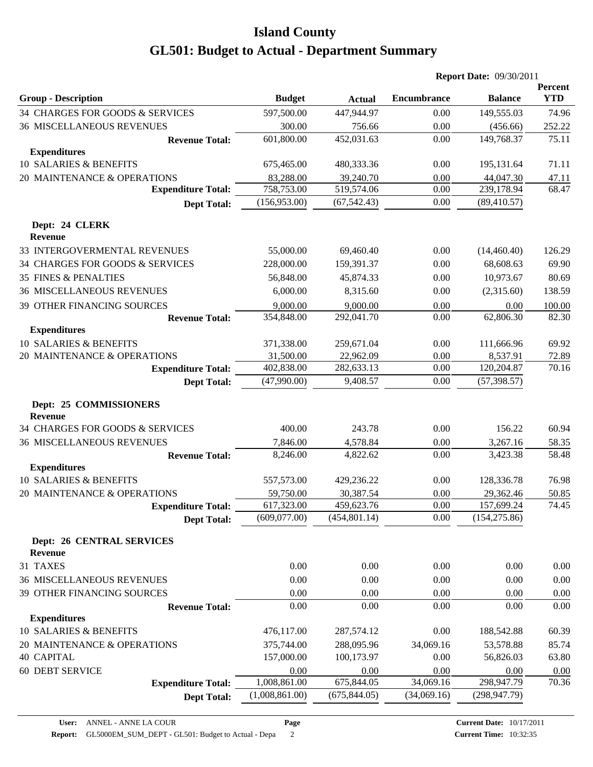|                                                    |                            |               |                    | <b>Report Date: 09/30/2011</b> |                       |  |
|----------------------------------------------------|----------------------------|---------------|--------------------|--------------------------------|-----------------------|--|
| <b>Group - Description</b>                         | <b>Budget</b>              | <b>Actual</b> | <b>Encumbrance</b> | <b>Balance</b>                 | Percent<br><b>YTD</b> |  |
| 34 CHARGES FOR GOODS & SERVICES                    | 597,500.00                 | 447,944.97    | 0.00               | 149,555.03                     | 74.96                 |  |
| <b>36 MISCELLANEOUS REVENUES</b>                   | 300.00                     | 756.66        | 0.00               | (456.66)                       | 252.22                |  |
| <b>Revenue Total:</b>                              | 601,800.00                 | 452,031.63    | 0.00               | 149,768.37                     | 75.11                 |  |
| <b>Expenditures</b>                                |                            |               |                    |                                |                       |  |
| 10 SALARIES & BENEFITS                             | 675,465.00                 | 480,333.36    | 0.00               | 195,131.64                     | 71.11                 |  |
| 20 MAINTENANCE & OPERATIONS                        | 83,288.00                  | 39,240.70     | 0.00               | 44,047.30                      | 47.11                 |  |
| <b>Expenditure Total:</b>                          | 758,753.00                 | 519,574.06    | 0.00               | 239,178.94                     | 68.47                 |  |
| <b>Dept Total:</b>                                 | (156,953.00)               | (67, 542.43)  | 0.00               | (89, 410.57)                   |                       |  |
| Dept: 24 CLERK<br><b>Revenue</b>                   |                            |               |                    |                                |                       |  |
| 33 INTERGOVERMENTAL REVENUES                       | 55,000.00                  | 69,460.40     | 0.00               | (14, 460.40)                   | 126.29                |  |
| 34 CHARGES FOR GOODS & SERVICES                    | 228,000.00                 | 159,391.37    | 0.00               | 68,608.63                      | 69.90                 |  |
| <b>35 FINES &amp; PENALTIES</b>                    | 56,848.00                  | 45,874.33     | 0.00               | 10,973.67                      | 80.69                 |  |
| <b>36 MISCELLANEOUS REVENUES</b>                   | 6,000.00                   | 8,315.60      | 0.00               | (2,315.60)                     | 138.59                |  |
| 39 OTHER FINANCING SOURCES                         | 9,000.00                   | 9,000.00      | 0.00               | 0.00                           | 100.00                |  |
| <b>Revenue Total:</b>                              | 354,848.00                 | 292,041.70    | 0.00               | 62,806.30                      | 82.30                 |  |
| <b>Expenditures</b>                                |                            |               |                    |                                |                       |  |
| 10 SALARIES & BENEFITS                             | 371,338.00                 | 259,671.04    | 0.00               | 111,666.96                     | 69.92                 |  |
| 20 MAINTENANCE & OPERATIONS                        | 31,500.00                  | 22,962.09     | 0.00               | 8,537.91                       | 72.89                 |  |
| <b>Expenditure Total:</b>                          | 402,838.00                 | 282,633.13    | 0.00               | 120,204.87                     | 70.16                 |  |
| <b>Dept Total:</b>                                 | (47,990.00)                | 9,408.57      | 0.00               | (57, 398.57)                   |                       |  |
| Dept: 25 COMMISSIONERS<br><b>Revenue</b>           |                            |               |                    |                                |                       |  |
| 34 CHARGES FOR GOODS & SERVICES                    | 400.00                     | 243.78        | 0.00               | 156.22                         | 60.94                 |  |
| <b>36 MISCELLANEOUS REVENUES</b>                   | 7,846.00                   | 4,578.84      | 0.00               | 3,267.16                       | 58.35                 |  |
| <b>Revenue Total:</b>                              | 8,246.00                   | 4,822.62      | 0.00               | 3,423.38                       | 58.48                 |  |
| <b>Expenditures</b>                                |                            |               |                    |                                |                       |  |
| 10 SALARIES & BENEFITS                             | 557,573.00                 | 429,236.22    | 0.00               | 128,336.78                     | 76.98                 |  |
| 20 MAINTENANCE & OPERATIONS                        | 59,750.00                  | 30,387.54     | 0.00               | 29,362.46                      | 50.85                 |  |
| <b>Expenditure Total:</b>                          | 617,323.00<br>(609,077.00) | 459,623.76    | $0.00\,$           | 157,699.24<br>(154, 275.86)    | 74.45                 |  |
| <b>Dept Total:</b>                                 |                            | (454, 801.14) | 0.00               |                                |                       |  |
| <b>Dept: 26 CENTRAL SERVICES</b><br><b>Revenue</b> |                            |               |                    |                                |                       |  |
| 31 TAXES                                           | 0.00                       | 0.00          | 0.00               | 0.00                           | 0.00                  |  |
| <b>36 MISCELLANEOUS REVENUES</b>                   | 0.00                       | 0.00          | 0.00               | 0.00                           | 0.00                  |  |
| 39 OTHER FINANCING SOURCES                         | 0.00                       | 0.00          | 0.00               | 0.00                           | 0.00                  |  |
| <b>Revenue Total:</b>                              | 0.00                       | 0.00          | 0.00               | 0.00                           | 0.00                  |  |
| <b>Expenditures</b>                                |                            |               |                    |                                |                       |  |
| 10 SALARIES & BENEFITS                             | 476,117.00                 | 287,574.12    | 0.00               | 188,542.88                     | 60.39                 |  |
| 20 MAINTENANCE & OPERATIONS                        | 375,744.00                 | 288,095.96    | 34,069.16          | 53,578.88                      | 85.74                 |  |
| <b>40 CAPITAL</b>                                  | 157,000.00                 | 100,173.97    | 0.00               | 56,826.03                      | 63.80                 |  |
| 60 DEBT SERVICE                                    | 0.00                       | 0.00          | 0.00               | 0.00                           | 0.00                  |  |
| <b>Expenditure Total:</b>                          | 1,008,861.00               | 675,844.05    | 34,069.16          | 298,947.79                     | 70.36                 |  |
| <b>Dept Total:</b>                                 | (1,008,861.00)             | (675, 844.05) | (34,069.16)        | (298, 947.79)                  |                       |  |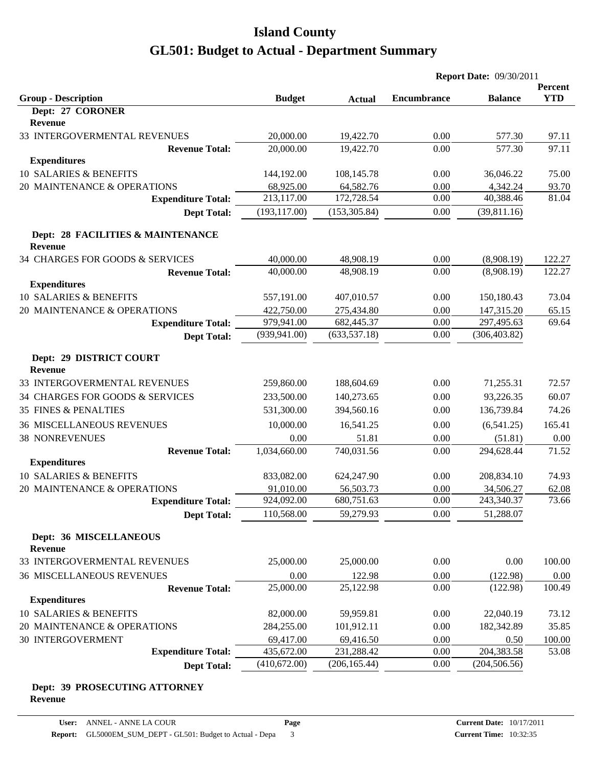|                                                     |               |               | <b>Report Date: 09/30/2011</b> |                |            |
|-----------------------------------------------------|---------------|---------------|--------------------------------|----------------|------------|
|                                                     |               |               |                                |                | Percent    |
| <b>Group - Description</b><br>Dept: 27 CORONER      | <b>Budget</b> | <b>Actual</b> | <b>Encumbrance</b>             | <b>Balance</b> | <b>YTD</b> |
| <b>Revenue</b>                                      |               |               |                                |                |            |
| 33 INTERGOVERMENTAL REVENUES                        | 20,000.00     | 19,422.70     | 0.00                           | 577.30         | 97.11      |
| <b>Revenue Total:</b>                               | 20,000.00     | 19,422.70     | 0.00                           | 577.30         | 97.11      |
| <b>Expenditures</b>                                 |               |               |                                |                |            |
| 10 SALARIES & BENEFITS                              | 144,192.00    | 108,145.78    | 0.00                           | 36,046.22      | 75.00      |
| 20 MAINTENANCE & OPERATIONS                         | 68,925.00     | 64,582.76     | 0.00                           | 4,342.24       | 93.70      |
| <b>Expenditure Total:</b>                           | 213,117.00    | 172,728.54    | 0.00                           | 40,388.46      | 81.04      |
| <b>Dept Total:</b>                                  | (193, 117.00) | (153, 305.84) | 0.00                           | (39,811.16)    |            |
| Dept: 28 FACILITIES & MAINTENANCE<br><b>Revenue</b> |               |               |                                |                |            |
| 34 CHARGES FOR GOODS & SERVICES                     | 40,000.00     | 48,908.19     | 0.00                           | (8,908.19)     | 122.27     |
| <b>Revenue Total:</b>                               | 40,000.00     | 48,908.19     | 0.00                           | (8,908.19)     | 122.27     |
| <b>Expenditures</b>                                 |               |               |                                |                |            |
| 10 SALARIES & BENEFITS                              | 557,191.00    | 407,010.57    | 0.00                           | 150,180.43     | 73.04      |
| 20 MAINTENANCE & OPERATIONS                         | 422,750.00    | 275,434.80    | 0.00                           | 147,315.20     | 65.15      |
| <b>Expenditure Total:</b>                           | 979,941.00    | 682,445.37    | 0.00                           | 297,495.63     | 69.64      |
| <b>Dept Total:</b>                                  | (939, 941.00) | (633, 537.18) | 0.00                           | (306, 403.82)  |            |
| Dept: 29 DISTRICT COURT<br><b>Revenue</b>           |               |               |                                |                |            |
| 33 INTERGOVERMENTAL REVENUES                        | 259,860.00    | 188,604.69    | 0.00                           | 71,255.31      | 72.57      |
| 34 CHARGES FOR GOODS & SERVICES                     | 233,500.00    | 140,273.65    | 0.00                           | 93,226.35      | 60.07      |
| <b>35 FINES &amp; PENALTIES</b>                     | 531,300.00    | 394,560.16    | 0.00                           | 136,739.84     | 74.26      |
| <b>36 MISCELLANEOUS REVENUES</b>                    | 10,000.00     | 16,541.25     | 0.00                           | (6,541.25)     | 165.41     |
| <b>38 NONREVENUES</b>                               | 0.00          | 51.81         | 0.00                           | (51.81)        | 0.00       |
| <b>Revenue Total:</b>                               | 1,034,660.00  | 740,031.56    | 0.00                           | 294,628.44     | 71.52      |
| <b>Expenditures</b>                                 |               |               |                                |                |            |
| 10 SALARIES & BENEFITS                              | 833,082.00    | 624,247.90    | 0.00                           | 208,834.10     | 74.93      |
| 20 MAINTENANCE & OPERATIONS                         | 91,010.00     | 56,503.73     | 0.00                           | 34,506.27      | 62.08      |
| <b>Expenditure Total:</b>                           | 924,092.00    | 680,751.63    | 0.00                           | 243,340.37     | 73.66      |
| <b>Dept Total:</b>                                  | 110,568.00    | 59,279.93     | 0.00                           | 51,288.07      |            |
| Dept: 36 MISCELLANEOUS<br><b>Revenue</b>            |               |               |                                |                |            |
| 33 INTERGOVERMENTAL REVENUES                        | 25,000.00     | 25,000.00     | 0.00                           | 0.00           | 100.00     |
| <b>36 MISCELLANEOUS REVENUES</b>                    | 0.00          | 122.98        | 0.00                           | (122.98)       | 0.00       |
| <b>Revenue Total:</b>                               | 25,000.00     | 25,122.98     | 0.00                           | (122.98)       | 100.49     |
| <b>Expenditures</b>                                 |               |               |                                |                |            |
| 10 SALARIES & BENEFITS                              | 82,000.00     | 59,959.81     | 0.00                           | 22,040.19      | 73.12      |
| 20 MAINTENANCE & OPERATIONS                         | 284,255.00    | 101,912.11    | 0.00                           | 182,342.89     | 35.85      |
| 30 INTERGOVERMENT                                   | 69,417.00     | 69,416.50     | 0.00                           | 0.50           | 100.00     |
| <b>Expenditure Total:</b>                           | 435,672.00    | 231,288.42    | 0.00                           | 204,383.58     | 53.08      |
| <b>Dept Total:</b>                                  | (410,672.00)  | (206, 165.44) | 0.00                           | (204, 506.56)  |            |

#### **Dept: 39 PROSECUTING ATTORNEY Revenue**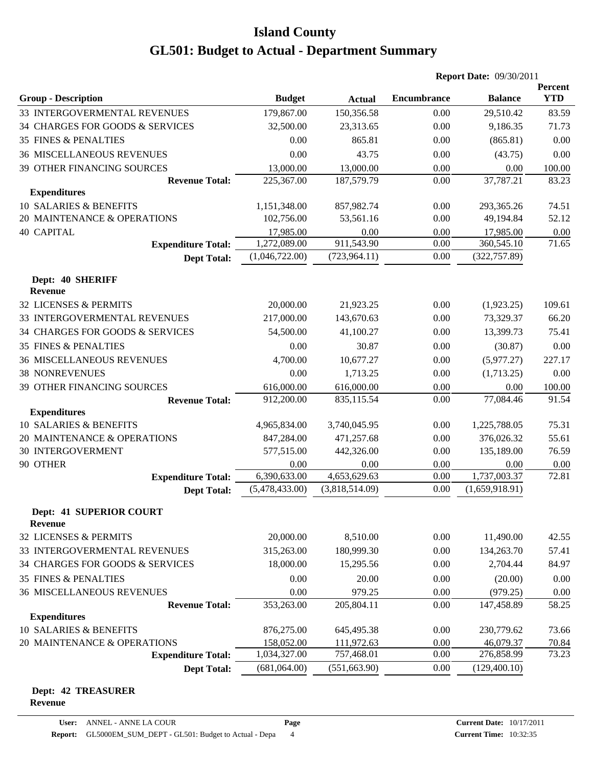|                                                           |                    |                      |                    | <b>Report Date: 09/30/2011</b> |            |
|-----------------------------------------------------------|--------------------|----------------------|--------------------|--------------------------------|------------|
|                                                           |                    |                      |                    |                                | Percent    |
| <b>Group - Description</b>                                | <b>Budget</b>      | <b>Actual</b>        | <b>Encumbrance</b> | <b>Balance</b>                 | <b>YTD</b> |
| 33 INTERGOVERMENTAL REVENUES                              | 179,867.00         | 150,356.58           | 0.00               | 29,510.42                      | 83.59      |
| 34 CHARGES FOR GOODS & SERVICES                           | 32,500.00          | 23,313.65            | 0.00               | 9,186.35                       | 71.73      |
| <b>35 FINES &amp; PENALTIES</b>                           | 0.00               | 865.81               | 0.00               | (865.81)                       | 0.00       |
| <b>36 MISCELLANEOUS REVENUES</b>                          | 0.00               | 43.75                | 0.00               | (43.75)                        | 0.00       |
| 39 OTHER FINANCING SOURCES                                | 13,000.00          | 13,000.00            | 0.00               | 0.00                           | 100.00     |
| <b>Revenue Total:</b>                                     | 225,367.00         | 187,579.79           | 0.00               | 37,787.21                      | 83.23      |
| <b>Expenditures</b>                                       |                    |                      |                    |                                |            |
| 10 SALARIES & BENEFITS                                    | 1,151,348.00       | 857,982.74           | 0.00               | 293,365.26                     | 74.51      |
| 20 MAINTENANCE & OPERATIONS                               | 102,756.00         | 53,561.16            | 0.00               | 49,194.84                      | 52.12      |
| <b>40 CAPITAL</b>                                         | 17,985.00          | 0.00                 | 0.00               | 17,985.00                      | 0.00       |
| <b>Expenditure Total:</b>                                 | 1,272,089.00       | 911,543.90           | 0.00               | 360,545.10                     | 71.65      |
| <b>Dept Total:</b>                                        | (1,046,722.00)     | (723, 964.11)        | 0.00               | (322, 757.89)                  |            |
| Dept: 40 SHERIFF                                          |                    |                      |                    |                                |            |
| <b>Revenue</b>                                            |                    |                      |                    |                                |            |
| 32 LICENSES & PERMITS                                     | 20,000.00          | 21,923.25            | 0.00               | (1,923.25)                     | 109.61     |
| 33 INTERGOVERMENTAL REVENUES                              | 217,000.00         | 143,670.63           | 0.00               | 73,329.37                      | 66.20      |
| 34 CHARGES FOR GOODS & SERVICES                           | 54,500.00          | 41,100.27            | 0.00               | 13,399.73                      | 75.41      |
| <b>35 FINES &amp; PENALTIES</b>                           | 0.00               | 30.87                | 0.00               | (30.87)                        | 0.00       |
| <b>36 MISCELLANEOUS REVENUES</b>                          | 4,700.00           | 10,677.27            | 0.00               | (5,977.27)                     | 227.17     |
| <b>38 NONREVENUES</b>                                     | 0.00               | 1,713.25             | 0.00               | (1,713.25)                     | 0.00       |
| 39 OTHER FINANCING SOURCES                                | 616,000.00         | 616,000.00           | 0.00               | 0.00                           | 100.00     |
| <b>Revenue Total:</b>                                     | 912,200.00         | 835,115.54           | 0.00               | 77,084.46                      | 91.54      |
| <b>Expenditures</b>                                       |                    |                      |                    |                                |            |
| 10 SALARIES & BENEFITS                                    | 4,965,834.00       | 3,740,045.95         | 0.00               | 1,225,788.05                   | 75.31      |
| 20 MAINTENANCE & OPERATIONS                               | 847,284.00         | 471,257.68           | 0.00               | 376,026.32                     | 55.61      |
| 30 INTERGOVERMENT                                         | 577,515.00         | 442,326.00           | 0.00               | 135,189.00                     | 76.59      |
| 90 OTHER                                                  | 0.00               | 0.00                 | 0.00               | 0.00                           | 0.00       |
| <b>Expenditure Total:</b>                                 | 6,390,633.00       | 4,653,629.63         | 0.00               | 1,737,003.37                   | 72.81      |
| <b>Dept Total:</b>                                        | (5,478,433.00)     | (3,818,514.09)       | 0.00               | (1,659,918.91)                 |            |
|                                                           |                    |                      |                    |                                |            |
| <b>Dept: 41 SUPERIOR COURT</b><br><b>Revenue</b>          |                    |                      |                    |                                |            |
| 32 LICENSES & PERMITS                                     | 20,000.00          | 8,510.00             | 0.00               | 11,490.00                      | 42.55      |
| 33 INTERGOVERMENTAL REVENUES                              | 315,263.00         | 180,999.30           | 0.00               | 134,263.70                     | 57.41      |
| 34 CHARGES FOR GOODS & SERVICES                           | 18,000.00          | 15,295.56            | 0.00               | 2,704.44                       | 84.97      |
|                                                           |                    |                      |                    |                                |            |
| <b>35 FINES &amp; PENALTIES</b>                           | 0.00               | 20.00                | 0.00               | (20.00)                        | 0.00       |
| <b>36 MISCELLANEOUS REVENUES</b><br><b>Revenue Total:</b> | 0.00<br>353,263.00 | 979.25<br>205,804.11 | 0.00               | (979.25)<br>147,458.89         | 0.00       |
| <b>Expenditures</b>                                       |                    |                      | 0.00               |                                | 58.25      |
| 10 SALARIES & BENEFITS                                    | 876,275.00         | 645,495.38           | 0.00               | 230,779.62                     | 73.66      |
| 20 MAINTENANCE & OPERATIONS                               | 158,052.00         | 111,972.63           | 0.00               | 46,079.37                      | 70.84      |
| <b>Expenditure Total:</b>                                 | 1,034,327.00       | 757,468.01           | 0.00               | 276,858.99                     | 73.23      |
| <b>Dept Total:</b>                                        | (681,064.00)       | (551, 663.90)        | 0.00               | (129, 400.10)                  |            |
|                                                           |                    |                      |                    |                                |            |

#### **Dept: 42 TREASURER Revenue**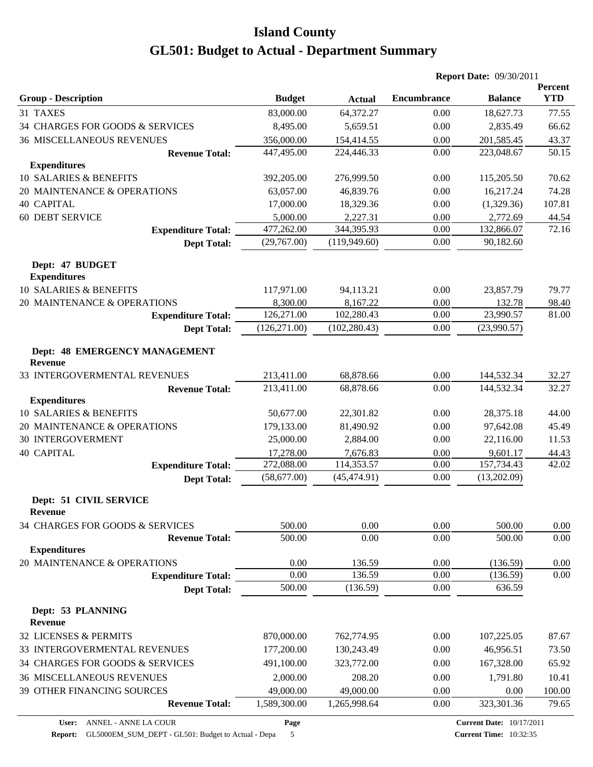|                                                 |               |               | <b>Report Date: 09/30/2011</b> |                |                       |
|-------------------------------------------------|---------------|---------------|--------------------------------|----------------|-----------------------|
| <b>Group - Description</b>                      | <b>Budget</b> | <b>Actual</b> | <b>Encumbrance</b>             | <b>Balance</b> | Percent<br><b>YTD</b> |
| 31 TAXES                                        | 83,000.00     | 64,372.27     | 0.00                           | 18,627.73      | 77.55                 |
| 34 CHARGES FOR GOODS & SERVICES                 | 8,495.00      | 5,659.51      | 0.00                           | 2,835.49       | 66.62                 |
| <b>36 MISCELLANEOUS REVENUES</b>                | 356,000.00    | 154,414.55    | 0.00                           | 201,585.45     | 43.37                 |
| <b>Revenue Total:</b>                           | 447,495.00    | 224,446.33    | 0.00                           | 223,048.67     | 50.15                 |
| <b>Expenditures</b>                             |               |               |                                |                |                       |
| 10 SALARIES & BENEFITS                          | 392,205.00    | 276,999.50    | 0.00                           | 115,205.50     | 70.62                 |
| 20 MAINTENANCE & OPERATIONS                     | 63,057.00     | 46,839.76     | 0.00                           | 16,217.24      | 74.28                 |
| <b>40 CAPITAL</b>                               | 17,000.00     | 18,329.36     | 0.00                           | (1,329.36)     | 107.81                |
| <b>60 DEBT SERVICE</b>                          | 5,000.00      | 2,227.31      | 0.00                           | 2,772.69       | 44.54                 |
| <b>Expenditure Total:</b>                       | 477,262.00    | 344,395.93    | 0.00                           | 132,866.07     | 72.16                 |
| <b>Dept Total:</b>                              | (29,767.00)   | (119, 949.60) | 0.00                           | 90,182.60      |                       |
| Dept: 47 BUDGET<br><b>Expenditures</b>          |               |               |                                |                |                       |
| 10 SALARIES & BENEFITS                          | 117,971.00    | 94,113.21     | 0.00                           | 23,857.79      | 79.77                 |
| 20 MAINTENANCE & OPERATIONS                     | 8,300.00      | 8,167.22      | 0.00                           | 132.78         | 98.40                 |
| <b>Expenditure Total:</b>                       | 126,271.00    | 102,280.43    | $0.00\,$                       | 23,990.57      | 81.00                 |
| <b>Dept Total:</b>                              | (126, 271.00) | (102, 280.43) | 0.00                           | (23,990.57)    |                       |
| Dept: 48 EMERGENCY MANAGEMENT<br><b>Revenue</b> |               |               |                                |                |                       |
| 33 INTERGOVERMENTAL REVENUES                    | 213,411.00    | 68,878.66     | 0.00                           | 144,532.34     | 32.27                 |
| <b>Revenue Total:</b>                           | 213,411.00    | 68,878.66     | 0.00                           | 144,532.34     | 32.27                 |
| <b>Expenditures</b>                             |               |               |                                |                |                       |
| 10 SALARIES & BENEFITS                          | 50,677.00     | 22,301.82     | 0.00                           | 28,375.18      | 44.00                 |
| 20 MAINTENANCE & OPERATIONS                     | 179,133.00    | 81,490.92     | 0.00                           | 97,642.08      | 45.49                 |
| <b>30 INTERGOVERMENT</b>                        | 25,000.00     | 2,884.00      | 0.00                           | 22,116.00      | 11.53                 |
| <b>40 CAPITAL</b>                               | 17,278.00     | 7,676.83      | 0.00                           | 9,601.17       | 44.43                 |
| <b>Expenditure Total:</b>                       | 272,088.00    | 114,353.57    | 0.00                           | 157,734.43     | 42.02                 |
| <b>Dept Total:</b>                              | (58,677.00)   | (45, 474.91)  | 0.00                           | (13,202.09)    |                       |
| Dept: 51 CIVIL SERVICE<br><b>Revenue</b>        |               |               |                                |                |                       |
| 34 CHARGES FOR GOODS & SERVICES                 | 500.00        | 0.00          | 0.00                           | 500.00         | 0.00                  |
| <b>Revenue Total:</b>                           | 500.00        | 0.00          | 0.00                           | 500.00         | $0.00\,$              |
| <b>Expenditures</b>                             |               |               |                                |                |                       |
| 20 MAINTENANCE & OPERATIONS                     | 0.00          | 136.59        | 0.00                           | (136.59)       | 0.00                  |
| <b>Expenditure Total:</b>                       | 0.00          | 136.59        | 0.00                           | (136.59)       | 0.00                  |
| <b>Dept Total:</b>                              | 500.00        | (136.59)      | 0.00                           | 636.59         |                       |
| Dept: 53 PLANNING<br>Revenue                    |               |               |                                |                |                       |
| 32 LICENSES & PERMITS                           | 870,000.00    | 762,774.95    | 0.00                           | 107,225.05     | 87.67                 |
| 33 INTERGOVERMENTAL REVENUES                    | 177,200.00    | 130,243.49    | 0.00                           | 46,956.51      | 73.50                 |
| 34 CHARGES FOR GOODS & SERVICES                 | 491,100.00    | 323,772.00    | 0.00                           | 167,328.00     | 65.92                 |
| <b>36 MISCELLANEOUS REVENUES</b>                | 2,000.00      | 208.20        | 0.00                           | 1,791.80       | 10.41                 |
| 39 OTHER FINANCING SOURCES                      | 49,000.00     | 49,000.00     | 0.00                           | 0.00           | 100.00                |
| <b>Revenue Total:</b>                           | 1,589,300.00  | 1,265,998.64  | 0.00                           | 323,301.36     | 79.65                 |
|                                                 |               |               |                                |                |                       |

**Page**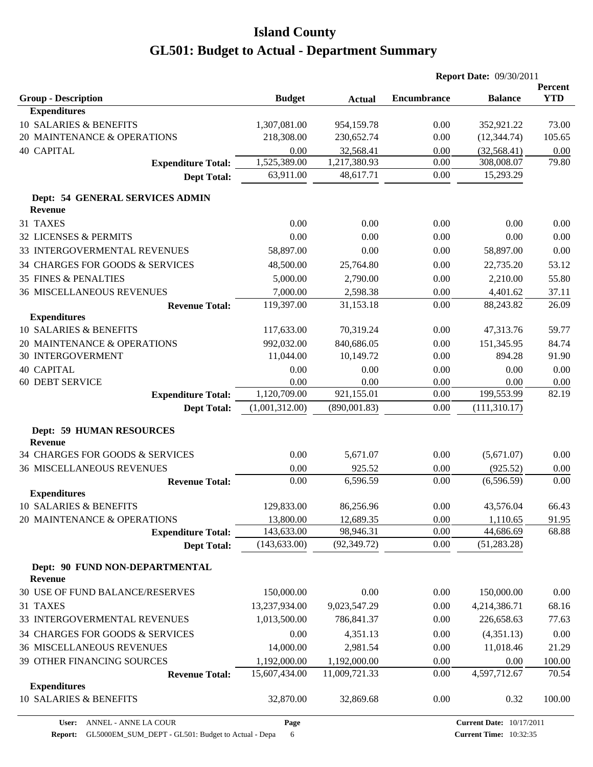|                                                          |                         |                        | <b>Report Date: 09/30/2011</b> |                       |                       |
|----------------------------------------------------------|-------------------------|------------------------|--------------------------------|-----------------------|-----------------------|
| <b>Group - Description</b>                               | <b>Budget</b>           |                        | <b>Encumbrance</b>             | <b>Balance</b>        | Percent<br><b>YTD</b> |
| <b>Expenditures</b>                                      |                         | <b>Actual</b>          |                                |                       |                       |
| 10 SALARIES & BENEFITS                                   | 1,307,081.00            | 954,159.78             | 0.00                           | 352,921.22            | 73.00                 |
| 20 MAINTENANCE & OPERATIONS                              | 218,308.00              | 230,652.74             | 0.00                           | (12, 344.74)          | 105.65                |
| <b>40 CAPITAL</b>                                        | 0.00                    | 32,568.41              | 0.00                           | (32, 568.41)          | 0.00                  |
| <b>Expenditure Total:</b>                                | 1,525,389.00            | 1,217,380.93           | 0.00                           | 308,008.07            | 79.80                 |
| <b>Dept Total:</b>                                       | 63,911.00               | 48,617.71              | 0.00                           | 15,293.29             |                       |
| Dept: 54 GENERAL SERVICES ADMIN                          |                         |                        |                                |                       |                       |
| <b>Revenue</b>                                           |                         |                        |                                |                       |                       |
| 31 TAXES                                                 | 0.00                    | 0.00                   | 0.00                           | 0.00                  | 0.00                  |
| 32 LICENSES & PERMITS                                    | 0.00                    | 0.00                   | 0.00                           | 0.00                  | 0.00                  |
| 33 INTERGOVERMENTAL REVENUES                             | 58,897.00               | 0.00                   | 0.00                           | 58,897.00             | 0.00                  |
| 34 CHARGES FOR GOODS & SERVICES                          | 48,500.00               | 25,764.80              | 0.00                           | 22,735.20             | 53.12                 |
| <b>35 FINES &amp; PENALTIES</b>                          | 5,000.00                | 2,790.00               | 0.00                           | 2,210.00              | 55.80                 |
| <b>36 MISCELLANEOUS REVENUES</b>                         | 7,000.00                | 2,598.38               | 0.00                           | 4,401.62              | 37.11                 |
| <b>Revenue Total:</b>                                    | 119,397.00              | 31,153.18              | 0.00                           | 88,243.82             | 26.09                 |
| <b>Expenditures</b>                                      |                         |                        |                                |                       |                       |
| 10 SALARIES & BENEFITS                                   | 117,633.00              | 70,319.24              | 0.00                           | 47,313.76             | 59.77                 |
| 20 MAINTENANCE & OPERATIONS                              | 992,032.00              | 840,686.05             | 0.00                           | 151,345.95            | 84.74                 |
| <b>30 INTERGOVERMENT</b>                                 | 11,044.00               | 10,149.72              | 0.00                           | 894.28                | 91.90                 |
| <b>40 CAPITAL</b>                                        | 0.00                    | 0.00                   | 0.00                           | 0.00                  | 0.00                  |
| <b>60 DEBT SERVICE</b>                                   | 0.00                    | 0.00                   | 0.00                           | 0.00                  | 0.00                  |
| <b>Expenditure Total:</b>                                | 1,120,709.00            | 921,155.01             | 0.00                           | 199,553.99            | 82.19                 |
| <b>Dept Total:</b>                                       | (1,001,312.00)          | (890,001.83)           | 0.00                           | (111, 310.17)         |                       |
| <b>Dept: 59 HUMAN RESOURCES</b>                          |                         |                        |                                |                       |                       |
| <b>Revenue</b>                                           |                         |                        |                                |                       |                       |
| 34 CHARGES FOR GOODS & SERVICES                          | 0.00                    | 5,671.07               | 0.00                           | (5,671.07)            | 0.00                  |
| <b>36 MISCELLANEOUS REVENUES</b>                         | 0.00                    | 925.52                 | 0.00                           | (925.52)              | 0.00                  |
| <b>Revenue Total:</b>                                    | 0.00                    | 6,596.59               | 0.00                           | (6,596.59)            | 0.00                  |
| <b>Expenditures</b>                                      |                         |                        |                                |                       |                       |
| 10 SALARIES & BENEFITS                                   | 129,833.00              | 86,256.96              | 0.00                           | 43,576.04             | 66.43                 |
| 20 MAINTENANCE & OPERATIONS<br><b>Expenditure Total:</b> | 13,800.00<br>143,633.00 | 12,689.35<br>98,946.31 | 0.00<br>0.00                   | 1,110.65<br>44,686.69 | 91.95<br>68.88        |
| <b>Dept Total:</b>                                       | (143, 633.00)           | (92, 349.72)           | 0.00                           | (51, 283.28)          |                       |
|                                                          |                         |                        |                                |                       |                       |
| Dept: 90 FUND NON-DEPARTMENTAL<br><b>Revenue</b>         |                         |                        |                                |                       |                       |
| 30 USE OF FUND BALANCE/RESERVES                          | 150,000.00              | 0.00                   | 0.00                           | 150,000.00            | 0.00                  |
| 31 TAXES                                                 | 13,237,934.00           | 9,023,547.29           | 0.00                           | 4,214,386.71          | 68.16                 |
| 33 INTERGOVERMENTAL REVENUES                             | 1,013,500.00            | 786,841.37             | 0.00                           | 226,658.63            | 77.63                 |
| 34 CHARGES FOR GOODS & SERVICES                          | 0.00                    | 4,351.13               | 0.00                           | (4,351.13)            | 0.00                  |
| <b>36 MISCELLANEOUS REVENUES</b>                         | 14,000.00               | 2,981.54               | 0.00                           | 11,018.46             | 21.29                 |
| 39 OTHER FINANCING SOURCES                               | 1,192,000.00            | 1,192,000.00           | 0.00                           | 0.00                  | 100.00                |
| <b>Revenue Total:</b>                                    | 15,607,434.00           | 11,009,721.33          | 0.00                           | 4,597,712.67          | 70.54                 |
| <b>Expenditures</b>                                      |                         |                        |                                |                       |                       |
| 10 SALARIES & BENEFITS                                   | 32,870.00               | 32,869.68              | 0.00                           | 0.32                  | 100.00                |
|                                                          |                         |                        |                                |                       |                       |

**Page**

Report: GL5000EM\_SUM\_DEPT - GL501: Budget to Actual - Depa 6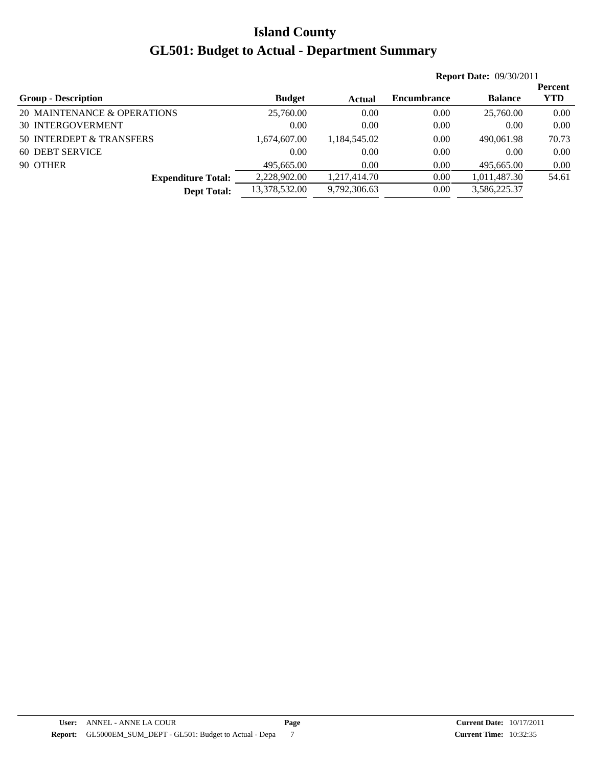|                             |               |              | <b>Report Date: 09/30/2011</b> |                |            |  |  |
|-----------------------------|---------------|--------------|--------------------------------|----------------|------------|--|--|
|                             |               |              |                                |                | Percent    |  |  |
| <b>Group - Description</b>  | <b>Budget</b> | Actual       | <b>Encumbrance</b>             | <b>Balance</b> | <b>YTD</b> |  |  |
| 20 MAINTENANCE & OPERATIONS | 25,760.00     | 0.00         | 0.00                           | 25,760.00      | 0.00       |  |  |
| <b>30 INTERGOVERMENT</b>    | 0.00          | 0.00         | 0.00                           | 0.00           | 0.00       |  |  |
| 50 INTERDEPT & TRANSFERS    | 1,674,607.00  | 1,184,545.02 | 0.00                           | 490,061.98     | 70.73      |  |  |
| 60 DEBT SERVICE             | 0.00          | 0.00         | 0.00                           | 0.00           | 0.00       |  |  |
| 90 OTHER                    | 495,665.00    | 0.00         | 0.00                           | 495,665.00     | 0.00       |  |  |
| <b>Expenditure Total:</b>   | 2,228,902.00  | 1,217,414.70 | 0.00                           | 1,011,487.30   | 54.61      |  |  |
| <b>Dept Total:</b>          | 13,378,532.00 | 9,792,306.63 | 0.00                           | 3,586,225.37   |            |  |  |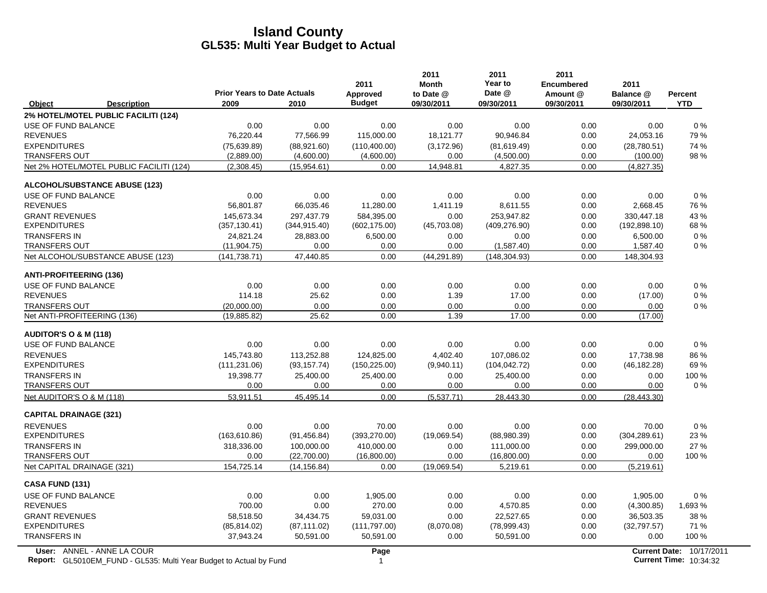|                                                                                                  | <b>Prior Years to Date Actuals</b> |               | 2011<br>Approved | 2011<br><b>Month</b><br>to Date @ | 2011<br>Year to<br>Date @ | 2011<br><b>Encumbered</b><br>Amount @ | 2011<br>Balance @ | <b>Percent</b>                                            |
|--------------------------------------------------------------------------------------------------|------------------------------------|---------------|------------------|-----------------------------------|---------------------------|---------------------------------------|-------------------|-----------------------------------------------------------|
| Object<br><b>Description</b>                                                                     | 2009                               | 2010          | <b>Budget</b>    | 09/30/2011                        | 09/30/2011                | 09/30/2011                            | 09/30/2011        | <b>YTD</b>                                                |
| 2% HOTEL/MOTEL PUBLIC FACILITI (124)                                                             |                                    |               |                  |                                   |                           |                                       |                   |                                                           |
| USE OF FUND BALANCE                                                                              | 0.00                               | 0.00          | 0.00             | 0.00                              | 0.00                      | 0.00                                  | 0.00              | 0%                                                        |
| <b>REVENUES</b>                                                                                  | 76,220.44                          | 77,566.99     | 115,000.00       | 18,121.77                         | 90,946.84                 | 0.00                                  | 24,053.16         | 79%                                                       |
| <b>EXPENDITURES</b>                                                                              | (75,639.89)                        | (88,921.60)   | (110,400.00)     | (3, 172.96)                       | (81, 619.49)              | 0.00                                  | (28,780.51)       | 74 %                                                      |
| <b>TRANSFERS OUT</b>                                                                             | (2,889.00)                         | (4,600.00)    | (4,600.00)       | 0.00                              | (4,500.00)                | 0.00                                  | (100.00)          | 98 %                                                      |
| Net 2% HOTEL/MOTEL PUBLIC FACILITI (124)                                                         | (2,308.45)                         | (15,954.61)   | 0.00             | 14,948.81                         | 4,827.35                  | 0.00                                  | (4,827.35)        |                                                           |
| <b>ALCOHOL/SUBSTANCE ABUSE (123)</b>                                                             |                                    |               |                  |                                   |                           |                                       |                   |                                                           |
| USE OF FUND BALANCE                                                                              | 0.00                               | 0.00          | 0.00             | 0.00                              | 0.00                      | 0.00                                  | 0.00              | 0%                                                        |
| <b>REVENUES</b>                                                                                  | 56,801.87                          | 66,035.46     | 11,280.00        | 1,411.19                          | 8,611.55                  | 0.00                                  | 2,668.45          | 76 %                                                      |
| <b>GRANT REVENUES</b>                                                                            | 145,673.34                         | 297,437.79    | 584,395.00       | 0.00                              | 253,947.82                | 0.00                                  | 330,447.18        | 43 %                                                      |
| <b>EXPENDITURES</b>                                                                              | (357,130.41)                       | (344, 915.40) | (602, 175.00)    | (45,703.08)                       | (409, 276.90)             | 0.00                                  | (192, 898.10)     | 68%                                                       |
| <b>TRANSFERS IN</b>                                                                              | 24,821.24                          | 28,883.00     | 6,500.00         | 0.00                              | 0.00                      | 0.00                                  | 6,500.00          | $0\%$                                                     |
| <b>TRANSFERS OUT</b>                                                                             | (11, 904.75)                       | 0.00          | 0.00             | 0.00                              | (1,587.40)                | 0.00                                  | 1,587.40          | $0\%$                                                     |
| Net ALCOHOL/SUBSTANCE ABUSE (123)                                                                | (141, 738.71)                      | 47,440.85     | 0.00             | (44, 291.89)                      | (148, 304.93)             | 0.00                                  | 148,304.93        |                                                           |
| <b>ANTI-PROFITEERING (136)</b>                                                                   |                                    |               |                  |                                   |                           |                                       |                   |                                                           |
| USE OF FUND BALANCE                                                                              | 0.00                               | 0.00          | 0.00             | 0.00                              | 0.00                      | 0.00                                  | 0.00              | 0%                                                        |
| <b>REVENUES</b>                                                                                  | 114.18                             | 25.62         | 0.00             | 1.39                              | 17.00                     | 0.00                                  | (17.00)           | 0%                                                        |
| <b>TRANSFERS OUT</b>                                                                             | (20,000.00)                        | 0.00          | 0.00             | 0.00                              | 0.00                      | 0.00                                  | 0.00              | $0\%$                                                     |
| Net ANTI-PROFITEERING (136)                                                                      | (19, 885.82)                       | 25.62         | 0.00             | 1.39                              | 17.00                     | 0.00                                  | (17.00)           |                                                           |
| <b>AUDITOR'S O &amp; M (118)</b>                                                                 |                                    |               |                  |                                   |                           |                                       |                   |                                                           |
| USE OF FUND BALANCE                                                                              | 0.00                               | 0.00          | 0.00             | 0.00                              | 0.00                      | 0.00                                  | 0.00              | $0\%$                                                     |
| <b>REVENUES</b>                                                                                  | 145,743.80                         | 113,252.88    | 124,825.00       | 4,402.40                          | 107,086.02                | 0.00                                  | 17,738.98         | 86%                                                       |
| <b>EXPENDITURES</b>                                                                              | (111, 231.06)                      | (93, 157.74)  | (150, 225.00)    | (9,940.11)                        | (104, 042.72)             | 0.00                                  | (46, 182.28)      | 69%                                                       |
| <b>TRANSFERS IN</b>                                                                              | 19,398.77                          | 25,400.00     | 25,400.00        | 0.00                              | 25,400.00                 | 0.00                                  | 0.00              | 100 %                                                     |
| <b>TRANSFERS OUT</b>                                                                             | 0.00                               | 0.00          | 0.00             | 0.00                              | 0.00                      | 0.00                                  | 0.00              | $0\%$                                                     |
| Net AUDITOR'S O & M (118)                                                                        | 53,911.51                          | 45,495.14     | 0.00             | (5,537.71)                        | 28,443.30                 | 0.00                                  | (28, 443.30)      |                                                           |
| <b>CAPITAL DRAINAGE (321)</b>                                                                    |                                    |               |                  |                                   |                           |                                       |                   |                                                           |
| <b>REVENUES</b>                                                                                  | 0.00                               | 0.00          | 70.00            | 0.00                              | 0.00                      | 0.00                                  | 70.00             | 0%                                                        |
| <b>EXPENDITURES</b>                                                                              | (163, 610.86)                      | (91, 456.84)  | (393, 270.00)    | (19,069.54)                       | (88,980.39)               | 0.00                                  | (304, 289.61)     | 23 %                                                      |
| <b>TRANSFERS IN</b>                                                                              | 318,336.00                         | 100,000.00    | 410,000.00       | 0.00                              | 111,000.00                | 0.00                                  | 299,000.00        | 27 %                                                      |
| <b>TRANSFERS OUT</b>                                                                             | 0.00                               | (22,700.00)   | (16,800.00)      | 0.00                              | (16,800.00)               | 0.00                                  | 0.00              | 100 %                                                     |
| Net CAPITAL DRAINAGE (321)                                                                       | 154,725.14                         | (14, 156.84)  | 0.00             | (19,069.54)                       | 5,219.61                  | 0.00                                  | (5,219.61)        |                                                           |
| <b>CASA FUND (131)</b>                                                                           |                                    |               |                  |                                   |                           |                                       |                   |                                                           |
| USE OF FUND BALANCE                                                                              | 0.00                               | 0.00          | 1,905.00         | 0.00                              | 0.00                      | 0.00                                  | 1,905.00          | 0%                                                        |
| <b>REVENUES</b>                                                                                  | 700.00                             | 0.00          | 270.00           | 0.00                              | 4,570.85                  | 0.00                                  | (4,300.85)        | 1,693 %                                                   |
| <b>GRANT REVENUES</b>                                                                            | 58,518.50                          | 34,434.75     | 59,031.00        | 0.00                              | 22,527.65                 | 0.00                                  | 36,503.35         | 38 %                                                      |
| <b>EXPENDITURES</b>                                                                              | (85, 814.02)                       | (87, 111.02)  | (111,797.00)     | (8,070.08)                        | (78,999.43)               | 0.00                                  | (32,797.57)       | 71 %                                                      |
| <b>TRANSFERS IN</b>                                                                              | 37,943.24                          | 50,591.00     | 50,591.00        | 0.00                              | 50,591.00                 | 0.00                                  | 0.00              | 100 %                                                     |
| User: ANNEL - ANNE LA COUR<br>Report: GL5010EM_FUND - GL535: Multi Year Budget to Actual by Fund |                                    |               | Page<br>1        |                                   |                           |                                       |                   | Current Date: 10/17/2011<br><b>Current Time: 10:34:32</b> |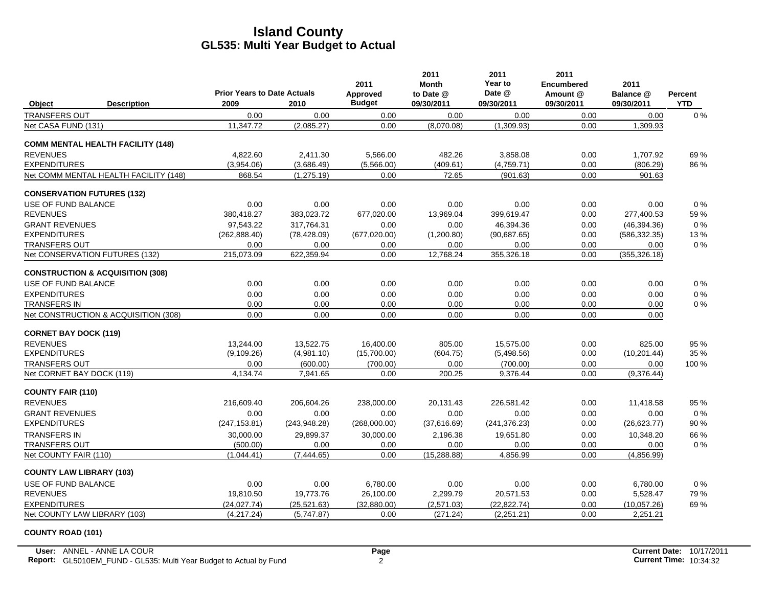|                                 |                                             |                                            |               | 2011                      | 2011<br><b>Month</b>    | 2011<br>Year to      | 2011<br><b>Encumbered</b> | 2011                    |                              |
|---------------------------------|---------------------------------------------|--------------------------------------------|---------------|---------------------------|-------------------------|----------------------|---------------------------|-------------------------|------------------------------|
| Object                          | <b>Description</b>                          | <b>Prior Years to Date Actuals</b><br>2009 | 2010          | Approved<br><b>Budget</b> | to Date @<br>09/30/2011 | Date @<br>09/30/2011 | Amount @<br>09/30/2011    | Balance @<br>09/30/2011 | <b>Percent</b><br><b>YTD</b> |
| <b>TRANSFERS OUT</b>            |                                             | 0.00                                       | 0.00          | 0.00                      | 0.00                    | 0.00                 | 0.00                      | 0.00                    | $0\%$                        |
| Net CASA FUND (131)             |                                             | 11,347.72                                  | (2,085.27)    | 0.00                      | (8,070.08)              | (1,309.93)           | 0.00                      | 1,309.93                |                              |
|                                 | <b>COMM MENTAL HEALTH FACILITY (148)</b>    |                                            |               |                           |                         |                      |                           |                         |                              |
| <b>REVENUES</b>                 |                                             | 4,822.60                                   | 2,411.30      | 5,566.00                  | 482.26                  | 3,858.08             | 0.00                      | 1,707.92                | 69%                          |
| <b>EXPENDITURES</b>             |                                             | (3,954.06)                                 | (3,686.49)    | (5,566.00)                | (409.61)                | (4,759.71)           | 0.00                      | (806.29)                | 86 %                         |
|                                 | Net COMM MENTAL HEALTH FACILITY (148)       | 868.54                                     | (1,275.19)    | 0.00                      | 72.65                   | (901.63)             | 0.00                      | 901.63                  |                              |
|                                 | <b>CONSERVATION FUTURES (132)</b>           |                                            |               |                           |                         |                      |                           |                         |                              |
| USE OF FUND BALANCE             |                                             | 0.00                                       | 0.00          | 0.00                      | 0.00                    | 0.00                 | 0.00                      | 0.00                    | 0%                           |
| <b>REVENUES</b>                 |                                             | 380,418.27                                 | 383,023.72    | 677,020.00                | 13,969.04               | 399,619.47           | 0.00                      | 277,400.53              | 59 %                         |
| <b>GRANT REVENUES</b>           |                                             | 97,543.22                                  | 317,764.31    | 0.00                      | 0.00                    | 46,394.36            | 0.00                      | (46, 394.36)            | 0%                           |
| <b>EXPENDITURES</b>             |                                             | (262, 888.40)                              | (78, 428.09)  | (677, 020.00)             | (1,200.80)              | (90,687.65)          | 0.00                      | (586, 332.35)           | 13%                          |
| <b>TRANSFERS OUT</b>            |                                             | 0.00                                       | 0.00          | 0.00                      | 0.00                    | 0.00                 | 0.00                      | 0.00                    | 0%                           |
|                                 | Net CONSERVATION FUTURES (132)              | 215,073.09                                 | 622.359.94    | 0.00                      | 12.768.24               | 355,326.18           | 0.00                      | (355, 326.18)           |                              |
|                                 | <b>CONSTRUCTION &amp; ACQUISITION (308)</b> |                                            |               |                           |                         |                      |                           |                         |                              |
| USE OF FUND BALANCE             |                                             | 0.00                                       | 0.00          | 0.00                      | 0.00                    | 0.00                 | 0.00                      | 0.00                    | $0\%$                        |
| <b>EXPENDITURES</b>             |                                             | 0.00                                       | 0.00          | 0.00                      | 0.00                    | 0.00                 | 0.00                      | 0.00                    | 0%                           |
| TRANSFERS IN                    |                                             | 0.00                                       | 0.00          | 0.00                      | 0.00                    | 0.00                 | 0.00                      | 0.00                    | $0\%$                        |
|                                 | Net CONSTRUCTION & ACQUISITION (308)        | 0.00                                       | 0.00          | 0.00                      | 0.00                    | 0.00                 | 0.00                      | 0.00                    |                              |
| <b>CORNET BAY DOCK (119)</b>    |                                             |                                            |               |                           |                         |                      |                           |                         |                              |
| <b>REVENUES</b>                 |                                             | 13,244.00                                  | 13,522.75     | 16,400.00                 | 805.00                  | 15,575.00            | 0.00                      | 825.00                  | 95 %                         |
| <b>EXPENDITURES</b>             |                                             | (9, 109.26)                                | (4,981.10)    | (15,700.00)               | (604.75)                | (5,498.56)           | 0.00                      | (10, 201.44)            | 35 %                         |
| <b>TRANSFERS OUT</b>            |                                             | 0.00                                       | (600.00)      | (700.00)                  | 0.00                    | (700.00)             | 0.00                      | 0.00                    | 100 %                        |
| Net CORNET BAY DOCK (119)       |                                             | 4,134.74                                   | 7,941.65      | 0.00                      | 200.25                  | 9,376.44             | 0.00                      | (9,376.44)              |                              |
| <b>COUNTY FAIR (110)</b>        |                                             |                                            |               |                           |                         |                      |                           |                         |                              |
| <b>REVENUES</b>                 |                                             | 216.609.40                                 | 206.604.26    | 238,000.00                | 20,131.43               | 226.581.42           | 0.00                      | 11,418.58               | 95 %                         |
| <b>GRANT REVENUES</b>           |                                             | 0.00                                       | 0.00          | 0.00                      | 0.00                    | 0.00                 | 0.00                      | 0.00                    | 0%                           |
| <b>EXPENDITURES</b>             |                                             | (247, 153.81)                              | (243, 948.28) | (268,000.00)              | (37,616.69)             | (241, 376.23)        | 0.00                      | (26, 623.77)            | 90 %                         |
| <b>TRANSFERS IN</b>             |                                             | 30,000.00                                  | 29,899.37     | 30,000.00                 | 2,196.38                | 19,651.80            | 0.00                      | 10,348.20               | 66 %                         |
| TRANSFERS OUT                   |                                             | (500.00)                                   | 0.00          | 0.00                      | 0.00                    | 0.00                 | 0.00                      | 0.00                    | $0\%$                        |
| Net COUNTY FAIR (110)           |                                             | (1,044.41)                                 | (7,444.65)    | 0.00                      | (15, 288.88)            | 4,856.99             | 0.00                      | (4,856.99)              |                              |
| <b>COUNTY LAW LIBRARY (103)</b> |                                             |                                            |               |                           |                         |                      |                           |                         |                              |
| <b>USE OF FUND BALANCE</b>      |                                             | 0.00                                       | 0.00          | 6,780.00                  | 0.00                    | 0.00                 | 0.00                      | 6,780.00                | 0%                           |
| <b>REVENUES</b>                 |                                             | 19,810.50                                  | 19,773.76     | 26,100.00                 | 2,299.79                | 20,571.53            | 0.00                      | 5,528.47                | 79 %                         |
| <b>EXPENDITURES</b>             |                                             | (24.027.74)                                | (25, 521.63)  | (32.880.00)               | (2,571.03)              | (22.822.74)          | 0.00                      | (10,057.26)             | 69%                          |
|                                 | Net COUNTY LAW LIBRARY (103)                | (4, 217.24)                                | (5,747.87)    | 0.00                      | (271.24)                | (2,251.21)           | 0.00                      | 2,251.21                |                              |

#### **COUNTY ROAD (101)**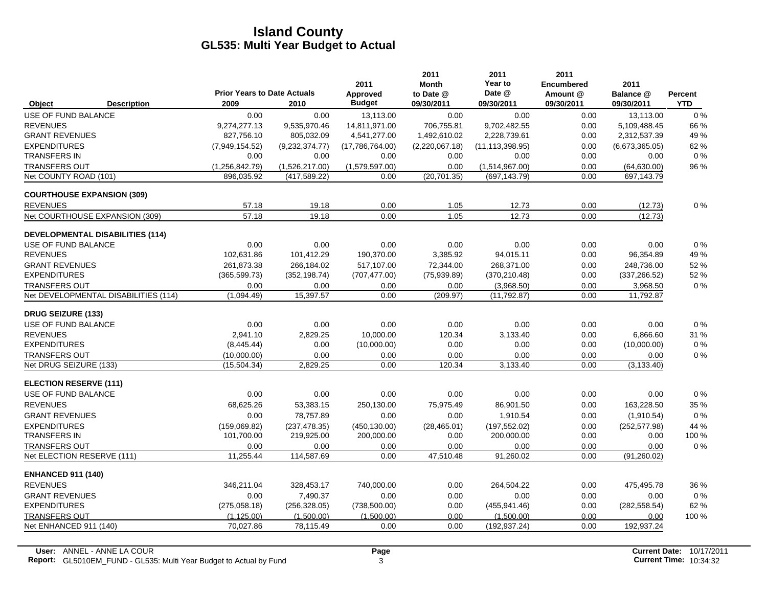|                                   |                                         |                                            |                | 2011                      | 2011<br><b>Month</b>    | 2011<br>Year to      | 2011<br><b>Encumbered</b> | 2011                    |                       |
|-----------------------------------|-----------------------------------------|--------------------------------------------|----------------|---------------------------|-------------------------|----------------------|---------------------------|-------------------------|-----------------------|
| Object                            | <b>Description</b>                      | <b>Prior Years to Date Actuals</b><br>2009 | 2010           | Approved<br><b>Budget</b> | to Date @<br>09/30/2011 | Date @<br>09/30/2011 | Amount @<br>09/30/2011    | Balance @<br>09/30/2011 | Percent<br><b>YTD</b> |
| USE OF FUND BALANCE               |                                         | 0.00                                       | 0.00           | 13,113.00                 | 0.00                    | 0.00                 | 0.00                      | 13,113.00               | 0%                    |
| <b>REVENUES</b>                   |                                         | 9,274,277.13                               | 9,535,970.46   | 14,811,971.00             | 706,755.81              | 9,702,482.55         | 0.00                      | 5,109,488.45            | 66 %                  |
| <b>GRANT REVENUES</b>             |                                         | 827,756.10                                 | 805,032.09     | 4,541,277.00              | 1,492,610.02            | 2,228,739.61         | 0.00                      | 2,312,537.39            | 49 %                  |
| <b>EXPENDITURES</b>               |                                         | (7,949,154.52)                             | (9,232,374.77) | (17,786,764.00)           | (2,220,067.18)          | (11, 113, 398.95)    | 0.00                      | (6,673,365.05)          | 62%                   |
| <b>TRANSFERS IN</b>               |                                         | 0.00                                       | 0.00           | 0.00                      | 0.00                    | 0.00                 | 0.00                      | 0.00                    | $0\%$                 |
| <b>TRANSFERS OUT</b>              |                                         | (1,256,842.79)                             | (1,526,217.00) | (1,579,597.00)            | 0.00                    | (1,514,967.00)       | 0.00                      | (64, 630.00)            | 96 %                  |
| Net COUNTY ROAD (101)             |                                         | 896.035.92                                 | (417, 589.22)  | 0.00                      | (20, 701.35)            | (697, 143.79)        | 0.00                      | 697,143.79              |                       |
| <b>COURTHOUSE EXPANSION (309)</b> |                                         |                                            |                |                           |                         |                      |                           |                         |                       |
| <b>REVENUES</b>                   |                                         | 57.18                                      | 19.18          | 0.00                      | 1.05                    | 12.73                | 0.00                      | (12.73)                 | $0\%$                 |
|                                   | Net COURTHOUSE EXPANSION (309)          | 57.18                                      | 19.18          | 0.00                      | 1.05                    | 12.73                | 0.00                      | (12.73)                 |                       |
|                                   | <b>DEVELOPMENTAL DISABILITIES (114)</b> |                                            |                |                           |                         |                      |                           |                         |                       |
| USE OF FUND BALANCE               |                                         | 0.00                                       | 0.00           | 0.00                      | 0.00                    | 0.00                 | 0.00                      | 0.00                    | 0%                    |
| <b>REVENUES</b>                   |                                         | 102,631.86                                 | 101,412.29     | 190,370.00                | 3,385.92                | 94,015.11            | 0.00                      | 96,354.89               | 49 %                  |
| <b>GRANT REVENUES</b>             |                                         | 261.873.38                                 | 266.184.02     | 517,107.00                | 72.344.00               | 268.371.00           | 0.00                      | 248.736.00              | 52%                   |
| <b>EXPENDITURES</b>               |                                         | (365, 599.73)                              | (352, 198.74)  | (707, 477.00)             | (75,939.89)             | (370, 210.48)        | 0.00                      | (337, 266.52)           | 52 %                  |
| <b>TRANSFERS OUT</b>              |                                         | 0.00                                       | 0.00           | 0.00                      | 0.00                    | (3,968.50)           | 0.00                      | 3,968.50                | $0\%$                 |
|                                   | Net DEVELOPMENTAL DISABILITIES (114)    | (1,094.49)                                 | 15,397.57      | 0.00                      | (209.97)                | (11, 792.87)         | 0.00                      | 11,792.87               |                       |
| <b>DRUG SEIZURE (133)</b>         |                                         |                                            |                |                           |                         |                      |                           |                         |                       |
| USE OF FUND BALANCE               |                                         | 0.00                                       | 0.00           | 0.00                      | 0.00                    | 0.00                 | 0.00                      | 0.00                    | $0\%$                 |
| <b>REVENUES</b>                   |                                         | 2,941.10                                   | 2,829.25       | 10,000.00                 | 120.34                  | 3,133.40             | 0.00                      | 6,866.60                | 31 %                  |
| <b>EXPENDITURES</b>               |                                         | (8,445.44)                                 | 0.00           | (10,000.00)               | 0.00                    | 0.00                 | 0.00                      | (10,000.00)             | $0\%$                 |
| <b>TRANSFERS OUT</b>              |                                         | (10,000.00)                                | 0.00           | 0.00                      | 0.00                    | 0.00                 | 0.00                      | 0.00                    | $0\%$                 |
| Net DRUG SEIZURE (133)            |                                         | (15, 504.34)                               | 2,829.25       | 0.00                      | 120.34                  | 3,133.40             | 0.00                      | (3, 133.40)             |                       |
| <b>ELECTION RESERVE (111)</b>     |                                         |                                            |                |                           |                         |                      |                           |                         |                       |
| USE OF FUND BALANCE               |                                         | 0.00                                       | 0.00           | 0.00                      | 0.00                    | 0.00                 | 0.00                      | 0.00                    | $0\%$                 |
| <b>REVENUES</b>                   |                                         | 68,625.26                                  | 53,383.15      | 250,130.00                | 75,975.49               | 86,901.50            | 0.00                      | 163,228.50              | 35 %                  |
| <b>GRANT REVENUES</b>             |                                         | 0.00                                       | 78,757.89      | 0.00                      | 0.00                    | 1,910.54             | 0.00                      | (1,910.54)              | $0\%$                 |
| <b>EXPENDITURES</b>               |                                         | (159,069.82)                               | (237, 478.35)  | (450, 130.00)             | (28, 465.01)            | (197, 552.02)        | 0.00                      | (252, 577.98)           | 44 %                  |
| <b>TRANSFERS IN</b>               |                                         | 101,700.00                                 | 219,925.00     | 200,000.00                | 0.00                    | 200,000.00           | 0.00                      | 0.00                    | 100 %                 |
| <b>TRANSFERS OUT</b>              |                                         | 0.00                                       | 0.00           | 0.00                      | 0.00                    | 0.00                 | 0.00                      | 0.00                    | $0\%$                 |
| Net ELECTION RESERVE (111)        |                                         | 11.255.44                                  | 114,587.69     | 0.00                      | 47,510.48               | 91,260.02            | 0.00                      | (91, 260.02)            |                       |
| <b>ENHANCED 911 (140)</b>         |                                         |                                            |                |                           |                         |                      |                           |                         |                       |
| <b>REVENUES</b>                   |                                         | 346,211.04                                 | 328,453.17     | 740,000.00                | 0.00                    | 264,504.22           | 0.00                      | 475,495.78              | 36 %                  |
| <b>GRANT REVENUES</b>             |                                         | 0.00                                       | 7,490.37       | 0.00                      | 0.00                    | 0.00                 | 0.00                      | 0.00                    | $0\%$                 |
| <b>EXPENDITURES</b>               |                                         | (275,058.18)                               | (256, 328.05)  | (738, 500.00)             | 0.00                    | (455, 941.46)        | 0.00                      | (282, 558.54)           | 62 %                  |
| <b>TRANSFERS OUT</b>              |                                         | (1, 125.00)                                | (1,500.00)     | (1,500.00)                | 0.00                    | (1,500.00)           | 0.00                      | 0.00                    | 100 %                 |
| Net ENHANCED 911 (140)            |                                         | 70,027.86                                  | 78,115.49      | 0.00                      | 0.00                    | (192, 937.24)        | 0.00                      | 192,937.24              |                       |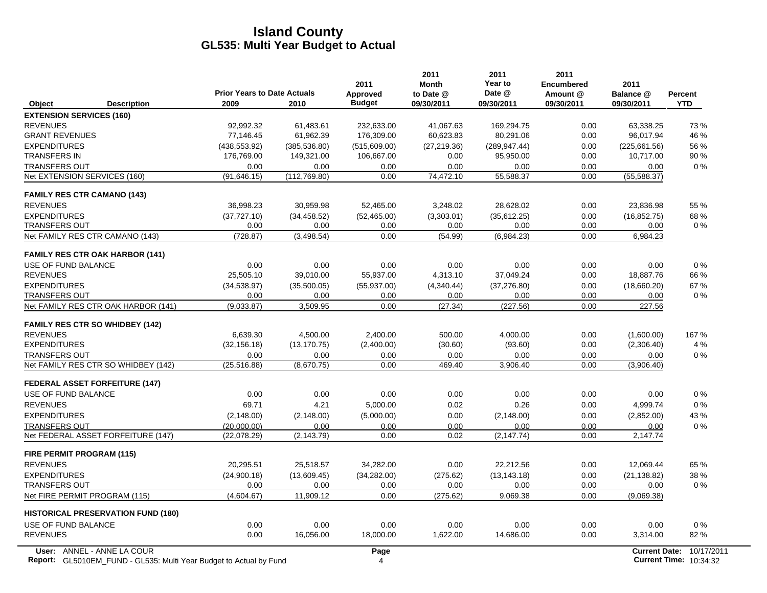| <b>Prior Years to Date Actuals</b><br>Date @<br>Approved<br>to Date @<br>Amount @<br>Balance @<br><b>Budget</b><br>2009<br>2010<br>09/30/2011<br>Object<br><b>Description</b><br>09/30/2011<br>09/30/2011<br>09/30/2011<br><b>EXTENSION SERVICES (160)</b><br><b>REVENUES</b><br>0.00<br>92,992.32<br>61,483.61<br>232,633.00<br>41,067.63<br>169,294.75<br>63,338.25<br><b>GRANT REVENUES</b><br>77,146.45<br>61,962.39<br>176,309.00<br>60,623.83<br>80,291.06<br>0.00<br>96,017.94<br><b>EXPENDITURES</b><br>(438, 553.92)<br>(385, 536.80)<br>(515,609.00)<br>(27, 219.36)<br>(289, 947.44)<br>0.00<br>(225, 661.56)<br><b>TRANSFERS IN</b><br>10,717.00<br>176,769.00<br>149,321.00<br>106,667.00<br>0.00<br>95,950.00<br>0.00<br><b>TRANSFERS OUT</b><br>0.00<br>0.00<br>0.00<br>0.00<br>0.00<br>0.00<br>0.00<br>74,472.10<br>Net EXTENSION SERVICES (160)<br>(91, 646.15)<br>(112, 769.80)<br>0.00<br>55,588.37<br>0.00<br>(55, 588.37)<br><b>FAMILY RES CTR CAMANO (143)</b><br><b>REVENUES</b><br>36,998.23<br>30,959.98<br>52,465.00<br>3,248.02<br>28,628.02<br>0.00<br>23,836.98<br><b>EXPENDITURES</b><br>(37, 727.10)<br>(34, 458.52)<br>(52, 465.00)<br>(3,303.01)<br>(35,612.25)<br>0.00<br>(16, 852.75)<br><b>TRANSFERS OUT</b><br>0.00<br>0.00<br>0.00<br>0.00<br>0.00<br>0.00<br>0.00<br>0.00<br>Net FAMILY RES CTR CAMANO (143)<br>(728.87)<br>(3, 498.54)<br>0.00<br>(54.99)<br>(6,984.23)<br>6,984.23<br><b>FAMILY RES CTR OAK HARBOR (141)</b><br>USE OF FUND BALANCE<br>0.00<br>0.00<br>0.00<br>0.00<br>0.00<br>0.00<br>0.00<br><b>REVENUES</b><br>25,505.10<br>39,010.00<br>55,937.00<br>4,313.10<br>37,049.24<br>0.00<br>18,887.76<br><b>EXPENDITURES</b><br>0.00<br>(18,660.20)<br>(34, 538.97)<br>(35,500.05)<br>(55, 937.00)<br>(4,340.44)<br>(37, 276.80)<br>0.00<br><b>TRANSFERS OUT</b><br>0.00<br>0.00<br>0.00<br>0.00<br>0.00<br>0.00<br>Net FAMILY RES CTR OAK HARBOR (141)<br>0.00<br>(227.56)<br>0.00<br>(9,033.87)<br>3,509.95<br>(27.34)<br>227.56<br><b>FAMILY RES CTR SO WHIDBEY (142)</b><br><b>REVENUES</b><br>2,400.00<br>500.00<br>4,000.00<br>6,639.30<br>4,500.00<br>0.00<br>(1,600.00)<br><b>EXPENDITURES</b><br>(2,400.00)<br>(30.60)<br>(93.60)<br>0.00<br>(2,306.40)<br>(32, 156.18)<br>(13, 170.75)<br><b>TRANSFERS OUT</b><br>0.00<br>0.00<br>0.00<br>0.00<br>0.00<br>0.00<br>Net FAMILY RES CTR SO WHIDBEY (142)<br>(25, 516.88)<br>(8,670.75)<br>0.00<br>469.40<br>3,906.40<br>0.00<br>(3,906.40)<br><b>FEDERAL ASSET FORFEITURE (147)</b><br>USE OF FUND BALANCE<br>0.00<br>0.00<br>0.00<br>0.00<br>0.00<br>0.00<br>0.00<br><b>REVENUES</b><br>4.21<br>69.71<br>5,000.00<br>0.02<br>0.26<br>0.00<br>4,999.74<br><b>EXPENDITURES</b><br>(2, 148.00)<br>(2, 148.00)<br>(5,000.00)<br>0.00<br>(2, 148.00)<br>0.00<br>(2,852.00)<br>0.00<br>0.00<br>0.00<br><b>TRANSFERS OUT</b><br>(20.000.00)<br>0.00<br>0.00<br>0.00<br>Net FEDERAL ASSET FORFEITURE (147)<br>(2, 143.79)<br>0.00<br>0.02<br>(2, 147.74)<br>0.00<br>2,147.74<br>(22,078.29)<br><b>FIRE PERMIT PROGRAM (115)</b><br><b>REVENUES</b><br>20,295.51<br>25,518.57<br>34,282.00<br>0.00<br>22,212.56<br>0.00<br>12,069.44 | <b>Percent</b>                                               |
|--------------------------------------------------------------------------------------------------------------------------------------------------------------------------------------------------------------------------------------------------------------------------------------------------------------------------------------------------------------------------------------------------------------------------------------------------------------------------------------------------------------------------------------------------------------------------------------------------------------------------------------------------------------------------------------------------------------------------------------------------------------------------------------------------------------------------------------------------------------------------------------------------------------------------------------------------------------------------------------------------------------------------------------------------------------------------------------------------------------------------------------------------------------------------------------------------------------------------------------------------------------------------------------------------------------------------------------------------------------------------------------------------------------------------------------------------------------------------------------------------------------------------------------------------------------------------------------------------------------------------------------------------------------------------------------------------------------------------------------------------------------------------------------------------------------------------------------------------------------------------------------------------------------------------------------------------------------------------------------------------------------------------------------------------------------------------------------------------------------------------------------------------------------------------------------------------------------------------------------------------------------------------------------------------------------------------------------------------------------------------------------------------------------------------------------------------------------------------------------------------------------------------------------------------------------------------------------------------------------------------------------------------------------------------------------------------------------------------------------------------------------------------------------------------------------------------------------------------------------------------------------------------------------------------------------------------------------------------------------------------------------------------------------------------------------------------------------------------------------------------------------------|--------------------------------------------------------------|
|                                                                                                                                                                                                                                                                                                                                                                                                                                                                                                                                                                                                                                                                                                                                                                                                                                                                                                                                                                                                                                                                                                                                                                                                                                                                                                                                                                                                                                                                                                                                                                                                                                                                                                                                                                                                                                                                                                                                                                                                                                                                                                                                                                                                                                                                                                                                                                                                                                                                                                                                                                                                                                                                                                                                                                                                                                                                                                                                                                                                                                                                                                                                            | <b>YTD</b>                                                   |
|                                                                                                                                                                                                                                                                                                                                                                                                                                                                                                                                                                                                                                                                                                                                                                                                                                                                                                                                                                                                                                                                                                                                                                                                                                                                                                                                                                                                                                                                                                                                                                                                                                                                                                                                                                                                                                                                                                                                                                                                                                                                                                                                                                                                                                                                                                                                                                                                                                                                                                                                                                                                                                                                                                                                                                                                                                                                                                                                                                                                                                                                                                                                            |                                                              |
|                                                                                                                                                                                                                                                                                                                                                                                                                                                                                                                                                                                                                                                                                                                                                                                                                                                                                                                                                                                                                                                                                                                                                                                                                                                                                                                                                                                                                                                                                                                                                                                                                                                                                                                                                                                                                                                                                                                                                                                                                                                                                                                                                                                                                                                                                                                                                                                                                                                                                                                                                                                                                                                                                                                                                                                                                                                                                                                                                                                                                                                                                                                                            | 73%                                                          |
|                                                                                                                                                                                                                                                                                                                                                                                                                                                                                                                                                                                                                                                                                                                                                                                                                                                                                                                                                                                                                                                                                                                                                                                                                                                                                                                                                                                                                                                                                                                                                                                                                                                                                                                                                                                                                                                                                                                                                                                                                                                                                                                                                                                                                                                                                                                                                                                                                                                                                                                                                                                                                                                                                                                                                                                                                                                                                                                                                                                                                                                                                                                                            | 46 %                                                         |
|                                                                                                                                                                                                                                                                                                                                                                                                                                                                                                                                                                                                                                                                                                                                                                                                                                                                                                                                                                                                                                                                                                                                                                                                                                                                                                                                                                                                                                                                                                                                                                                                                                                                                                                                                                                                                                                                                                                                                                                                                                                                                                                                                                                                                                                                                                                                                                                                                                                                                                                                                                                                                                                                                                                                                                                                                                                                                                                                                                                                                                                                                                                                            | 56 %                                                         |
|                                                                                                                                                                                                                                                                                                                                                                                                                                                                                                                                                                                                                                                                                                                                                                                                                                                                                                                                                                                                                                                                                                                                                                                                                                                                                                                                                                                                                                                                                                                                                                                                                                                                                                                                                                                                                                                                                                                                                                                                                                                                                                                                                                                                                                                                                                                                                                                                                                                                                                                                                                                                                                                                                                                                                                                                                                                                                                                                                                                                                                                                                                                                            | 90%                                                          |
|                                                                                                                                                                                                                                                                                                                                                                                                                                                                                                                                                                                                                                                                                                                                                                                                                                                                                                                                                                                                                                                                                                                                                                                                                                                                                                                                                                                                                                                                                                                                                                                                                                                                                                                                                                                                                                                                                                                                                                                                                                                                                                                                                                                                                                                                                                                                                                                                                                                                                                                                                                                                                                                                                                                                                                                                                                                                                                                                                                                                                                                                                                                                            | $0\%$                                                        |
|                                                                                                                                                                                                                                                                                                                                                                                                                                                                                                                                                                                                                                                                                                                                                                                                                                                                                                                                                                                                                                                                                                                                                                                                                                                                                                                                                                                                                                                                                                                                                                                                                                                                                                                                                                                                                                                                                                                                                                                                                                                                                                                                                                                                                                                                                                                                                                                                                                                                                                                                                                                                                                                                                                                                                                                                                                                                                                                                                                                                                                                                                                                                            |                                                              |
|                                                                                                                                                                                                                                                                                                                                                                                                                                                                                                                                                                                                                                                                                                                                                                                                                                                                                                                                                                                                                                                                                                                                                                                                                                                                                                                                                                                                                                                                                                                                                                                                                                                                                                                                                                                                                                                                                                                                                                                                                                                                                                                                                                                                                                                                                                                                                                                                                                                                                                                                                                                                                                                                                                                                                                                                                                                                                                                                                                                                                                                                                                                                            |                                                              |
|                                                                                                                                                                                                                                                                                                                                                                                                                                                                                                                                                                                                                                                                                                                                                                                                                                                                                                                                                                                                                                                                                                                                                                                                                                                                                                                                                                                                                                                                                                                                                                                                                                                                                                                                                                                                                                                                                                                                                                                                                                                                                                                                                                                                                                                                                                                                                                                                                                                                                                                                                                                                                                                                                                                                                                                                                                                                                                                                                                                                                                                                                                                                            | 55 %                                                         |
|                                                                                                                                                                                                                                                                                                                                                                                                                                                                                                                                                                                                                                                                                                                                                                                                                                                                                                                                                                                                                                                                                                                                                                                                                                                                                                                                                                                                                                                                                                                                                                                                                                                                                                                                                                                                                                                                                                                                                                                                                                                                                                                                                                                                                                                                                                                                                                                                                                                                                                                                                                                                                                                                                                                                                                                                                                                                                                                                                                                                                                                                                                                                            | 68%                                                          |
|                                                                                                                                                                                                                                                                                                                                                                                                                                                                                                                                                                                                                                                                                                                                                                                                                                                                                                                                                                                                                                                                                                                                                                                                                                                                                                                                                                                                                                                                                                                                                                                                                                                                                                                                                                                                                                                                                                                                                                                                                                                                                                                                                                                                                                                                                                                                                                                                                                                                                                                                                                                                                                                                                                                                                                                                                                                                                                                                                                                                                                                                                                                                            | 0%                                                           |
|                                                                                                                                                                                                                                                                                                                                                                                                                                                                                                                                                                                                                                                                                                                                                                                                                                                                                                                                                                                                                                                                                                                                                                                                                                                                                                                                                                                                                                                                                                                                                                                                                                                                                                                                                                                                                                                                                                                                                                                                                                                                                                                                                                                                                                                                                                                                                                                                                                                                                                                                                                                                                                                                                                                                                                                                                                                                                                                                                                                                                                                                                                                                            |                                                              |
|                                                                                                                                                                                                                                                                                                                                                                                                                                                                                                                                                                                                                                                                                                                                                                                                                                                                                                                                                                                                                                                                                                                                                                                                                                                                                                                                                                                                                                                                                                                                                                                                                                                                                                                                                                                                                                                                                                                                                                                                                                                                                                                                                                                                                                                                                                                                                                                                                                                                                                                                                                                                                                                                                                                                                                                                                                                                                                                                                                                                                                                                                                                                            |                                                              |
|                                                                                                                                                                                                                                                                                                                                                                                                                                                                                                                                                                                                                                                                                                                                                                                                                                                                                                                                                                                                                                                                                                                                                                                                                                                                                                                                                                                                                                                                                                                                                                                                                                                                                                                                                                                                                                                                                                                                                                                                                                                                                                                                                                                                                                                                                                                                                                                                                                                                                                                                                                                                                                                                                                                                                                                                                                                                                                                                                                                                                                                                                                                                            | 0%                                                           |
|                                                                                                                                                                                                                                                                                                                                                                                                                                                                                                                                                                                                                                                                                                                                                                                                                                                                                                                                                                                                                                                                                                                                                                                                                                                                                                                                                                                                                                                                                                                                                                                                                                                                                                                                                                                                                                                                                                                                                                                                                                                                                                                                                                                                                                                                                                                                                                                                                                                                                                                                                                                                                                                                                                                                                                                                                                                                                                                                                                                                                                                                                                                                            | 66 %                                                         |
|                                                                                                                                                                                                                                                                                                                                                                                                                                                                                                                                                                                                                                                                                                                                                                                                                                                                                                                                                                                                                                                                                                                                                                                                                                                                                                                                                                                                                                                                                                                                                                                                                                                                                                                                                                                                                                                                                                                                                                                                                                                                                                                                                                                                                                                                                                                                                                                                                                                                                                                                                                                                                                                                                                                                                                                                                                                                                                                                                                                                                                                                                                                                            | 67%                                                          |
|                                                                                                                                                                                                                                                                                                                                                                                                                                                                                                                                                                                                                                                                                                                                                                                                                                                                                                                                                                                                                                                                                                                                                                                                                                                                                                                                                                                                                                                                                                                                                                                                                                                                                                                                                                                                                                                                                                                                                                                                                                                                                                                                                                                                                                                                                                                                                                                                                                                                                                                                                                                                                                                                                                                                                                                                                                                                                                                                                                                                                                                                                                                                            | $0\%$                                                        |
|                                                                                                                                                                                                                                                                                                                                                                                                                                                                                                                                                                                                                                                                                                                                                                                                                                                                                                                                                                                                                                                                                                                                                                                                                                                                                                                                                                                                                                                                                                                                                                                                                                                                                                                                                                                                                                                                                                                                                                                                                                                                                                                                                                                                                                                                                                                                                                                                                                                                                                                                                                                                                                                                                                                                                                                                                                                                                                                                                                                                                                                                                                                                            |                                                              |
|                                                                                                                                                                                                                                                                                                                                                                                                                                                                                                                                                                                                                                                                                                                                                                                                                                                                                                                                                                                                                                                                                                                                                                                                                                                                                                                                                                                                                                                                                                                                                                                                                                                                                                                                                                                                                                                                                                                                                                                                                                                                                                                                                                                                                                                                                                                                                                                                                                                                                                                                                                                                                                                                                                                                                                                                                                                                                                                                                                                                                                                                                                                                            |                                                              |
|                                                                                                                                                                                                                                                                                                                                                                                                                                                                                                                                                                                                                                                                                                                                                                                                                                                                                                                                                                                                                                                                                                                                                                                                                                                                                                                                                                                                                                                                                                                                                                                                                                                                                                                                                                                                                                                                                                                                                                                                                                                                                                                                                                                                                                                                                                                                                                                                                                                                                                                                                                                                                                                                                                                                                                                                                                                                                                                                                                                                                                                                                                                                            | 167 %                                                        |
|                                                                                                                                                                                                                                                                                                                                                                                                                                                                                                                                                                                                                                                                                                                                                                                                                                                                                                                                                                                                                                                                                                                                                                                                                                                                                                                                                                                                                                                                                                                                                                                                                                                                                                                                                                                                                                                                                                                                                                                                                                                                                                                                                                                                                                                                                                                                                                                                                                                                                                                                                                                                                                                                                                                                                                                                                                                                                                                                                                                                                                                                                                                                            | 4 %                                                          |
|                                                                                                                                                                                                                                                                                                                                                                                                                                                                                                                                                                                                                                                                                                                                                                                                                                                                                                                                                                                                                                                                                                                                                                                                                                                                                                                                                                                                                                                                                                                                                                                                                                                                                                                                                                                                                                                                                                                                                                                                                                                                                                                                                                                                                                                                                                                                                                                                                                                                                                                                                                                                                                                                                                                                                                                                                                                                                                                                                                                                                                                                                                                                            | 0.00<br>$0\%$                                                |
|                                                                                                                                                                                                                                                                                                                                                                                                                                                                                                                                                                                                                                                                                                                                                                                                                                                                                                                                                                                                                                                                                                                                                                                                                                                                                                                                                                                                                                                                                                                                                                                                                                                                                                                                                                                                                                                                                                                                                                                                                                                                                                                                                                                                                                                                                                                                                                                                                                                                                                                                                                                                                                                                                                                                                                                                                                                                                                                                                                                                                                                                                                                                            |                                                              |
|                                                                                                                                                                                                                                                                                                                                                                                                                                                                                                                                                                                                                                                                                                                                                                                                                                                                                                                                                                                                                                                                                                                                                                                                                                                                                                                                                                                                                                                                                                                                                                                                                                                                                                                                                                                                                                                                                                                                                                                                                                                                                                                                                                                                                                                                                                                                                                                                                                                                                                                                                                                                                                                                                                                                                                                                                                                                                                                                                                                                                                                                                                                                            |                                                              |
|                                                                                                                                                                                                                                                                                                                                                                                                                                                                                                                                                                                                                                                                                                                                                                                                                                                                                                                                                                                                                                                                                                                                                                                                                                                                                                                                                                                                                                                                                                                                                                                                                                                                                                                                                                                                                                                                                                                                                                                                                                                                                                                                                                                                                                                                                                                                                                                                                                                                                                                                                                                                                                                                                                                                                                                                                                                                                                                                                                                                                                                                                                                                            | $0\%$                                                        |
|                                                                                                                                                                                                                                                                                                                                                                                                                                                                                                                                                                                                                                                                                                                                                                                                                                                                                                                                                                                                                                                                                                                                                                                                                                                                                                                                                                                                                                                                                                                                                                                                                                                                                                                                                                                                                                                                                                                                                                                                                                                                                                                                                                                                                                                                                                                                                                                                                                                                                                                                                                                                                                                                                                                                                                                                                                                                                                                                                                                                                                                                                                                                            | $0\%$                                                        |
|                                                                                                                                                                                                                                                                                                                                                                                                                                                                                                                                                                                                                                                                                                                                                                                                                                                                                                                                                                                                                                                                                                                                                                                                                                                                                                                                                                                                                                                                                                                                                                                                                                                                                                                                                                                                                                                                                                                                                                                                                                                                                                                                                                                                                                                                                                                                                                                                                                                                                                                                                                                                                                                                                                                                                                                                                                                                                                                                                                                                                                                                                                                                            | 43 %                                                         |
|                                                                                                                                                                                                                                                                                                                                                                                                                                                                                                                                                                                                                                                                                                                                                                                                                                                                                                                                                                                                                                                                                                                                                                                                                                                                                                                                                                                                                                                                                                                                                                                                                                                                                                                                                                                                                                                                                                                                                                                                                                                                                                                                                                                                                                                                                                                                                                                                                                                                                                                                                                                                                                                                                                                                                                                                                                                                                                                                                                                                                                                                                                                                            | $0\%$                                                        |
|                                                                                                                                                                                                                                                                                                                                                                                                                                                                                                                                                                                                                                                                                                                                                                                                                                                                                                                                                                                                                                                                                                                                                                                                                                                                                                                                                                                                                                                                                                                                                                                                                                                                                                                                                                                                                                                                                                                                                                                                                                                                                                                                                                                                                                                                                                                                                                                                                                                                                                                                                                                                                                                                                                                                                                                                                                                                                                                                                                                                                                                                                                                                            |                                                              |
|                                                                                                                                                                                                                                                                                                                                                                                                                                                                                                                                                                                                                                                                                                                                                                                                                                                                                                                                                                                                                                                                                                                                                                                                                                                                                                                                                                                                                                                                                                                                                                                                                                                                                                                                                                                                                                                                                                                                                                                                                                                                                                                                                                                                                                                                                                                                                                                                                                                                                                                                                                                                                                                                                                                                                                                                                                                                                                                                                                                                                                                                                                                                            |                                                              |
|                                                                                                                                                                                                                                                                                                                                                                                                                                                                                                                                                                                                                                                                                                                                                                                                                                                                                                                                                                                                                                                                                                                                                                                                                                                                                                                                                                                                                                                                                                                                                                                                                                                                                                                                                                                                                                                                                                                                                                                                                                                                                                                                                                                                                                                                                                                                                                                                                                                                                                                                                                                                                                                                                                                                                                                                                                                                                                                                                                                                                                                                                                                                            | 65 %                                                         |
| <b>EXPENDITURES</b><br>(13,609.45)<br>0.00<br>(24,900.18)<br>(34, 282.00)<br>(275.62)<br>(13, 143.18)<br>(21, 138.82)                                                                                                                                                                                                                                                                                                                                                                                                                                                                                                                                                                                                                                                                                                                                                                                                                                                                                                                                                                                                                                                                                                                                                                                                                                                                                                                                                                                                                                                                                                                                                                                                                                                                                                                                                                                                                                                                                                                                                                                                                                                                                                                                                                                                                                                                                                                                                                                                                                                                                                                                                                                                                                                                                                                                                                                                                                                                                                                                                                                                                      | 38 %                                                         |
| 0.00<br>0.00<br>0.00<br>0.00<br>0.00<br>0.00<br><b>TRANSFERS OUT</b><br>0.00                                                                                                                                                                                                                                                                                                                                                                                                                                                                                                                                                                                                                                                                                                                                                                                                                                                                                                                                                                                                                                                                                                                                                                                                                                                                                                                                                                                                                                                                                                                                                                                                                                                                                                                                                                                                                                                                                                                                                                                                                                                                                                                                                                                                                                                                                                                                                                                                                                                                                                                                                                                                                                                                                                                                                                                                                                                                                                                                                                                                                                                               | $0\%$                                                        |
| Net FIRE PERMIT PROGRAM (115)<br>(4,604.67)<br>11,909.12<br>0.00<br>(275.62)<br>9,069.38<br>0.00<br>(9,069.38)                                                                                                                                                                                                                                                                                                                                                                                                                                                                                                                                                                                                                                                                                                                                                                                                                                                                                                                                                                                                                                                                                                                                                                                                                                                                                                                                                                                                                                                                                                                                                                                                                                                                                                                                                                                                                                                                                                                                                                                                                                                                                                                                                                                                                                                                                                                                                                                                                                                                                                                                                                                                                                                                                                                                                                                                                                                                                                                                                                                                                             |                                                              |
| <b>HISTORICAL PRESERVATION FUND (180)</b>                                                                                                                                                                                                                                                                                                                                                                                                                                                                                                                                                                                                                                                                                                                                                                                                                                                                                                                                                                                                                                                                                                                                                                                                                                                                                                                                                                                                                                                                                                                                                                                                                                                                                                                                                                                                                                                                                                                                                                                                                                                                                                                                                                                                                                                                                                                                                                                                                                                                                                                                                                                                                                                                                                                                                                                                                                                                                                                                                                                                                                                                                                  |                                                              |
| USE OF FUND BALANCE<br>0.00<br>0.00<br>0.00<br>0.00<br>0.00<br>0.00<br>0.00                                                                                                                                                                                                                                                                                                                                                                                                                                                                                                                                                                                                                                                                                                                                                                                                                                                                                                                                                                                                                                                                                                                                                                                                                                                                                                                                                                                                                                                                                                                                                                                                                                                                                                                                                                                                                                                                                                                                                                                                                                                                                                                                                                                                                                                                                                                                                                                                                                                                                                                                                                                                                                                                                                                                                                                                                                                                                                                                                                                                                                                                | $0\%$                                                        |
| <b>REVENUES</b><br>0.00<br>18,000.00<br>1,622.00<br>16,056.00<br>14,686.00<br>0.00<br>3,314.00                                                                                                                                                                                                                                                                                                                                                                                                                                                                                                                                                                                                                                                                                                                                                                                                                                                                                                                                                                                                                                                                                                                                                                                                                                                                                                                                                                                                                                                                                                                                                                                                                                                                                                                                                                                                                                                                                                                                                                                                                                                                                                                                                                                                                                                                                                                                                                                                                                                                                                                                                                                                                                                                                                                                                                                                                                                                                                                                                                                                                                             | 82%                                                          |
| User: ANNEL - ANNE LA COUR<br>Page<br>Report: GL5010EM_FUND - GL535: Multi Year Budget to Actual by Fund<br>$\overline{4}$                                                                                                                                                                                                                                                                                                                                                                                                                                                                                                                                                                                                                                                                                                                                                                                                                                                                                                                                                                                                                                                                                                                                                                                                                                                                                                                                                                                                                                                                                                                                                                                                                                                                                                                                                                                                                                                                                                                                                                                                                                                                                                                                                                                                                                                                                                                                                                                                                                                                                                                                                                                                                                                                                                                                                                                                                                                                                                                                                                                                                 | 10/17/2011<br><b>Current Date:</b><br>Current Time: 10:34:32 |

**Report:** GL5010EM\_FUND - GL535: Multi Year Budget to Actual by Fund 10:04:32 10:34:32 4 **Current Time:** 10:34:32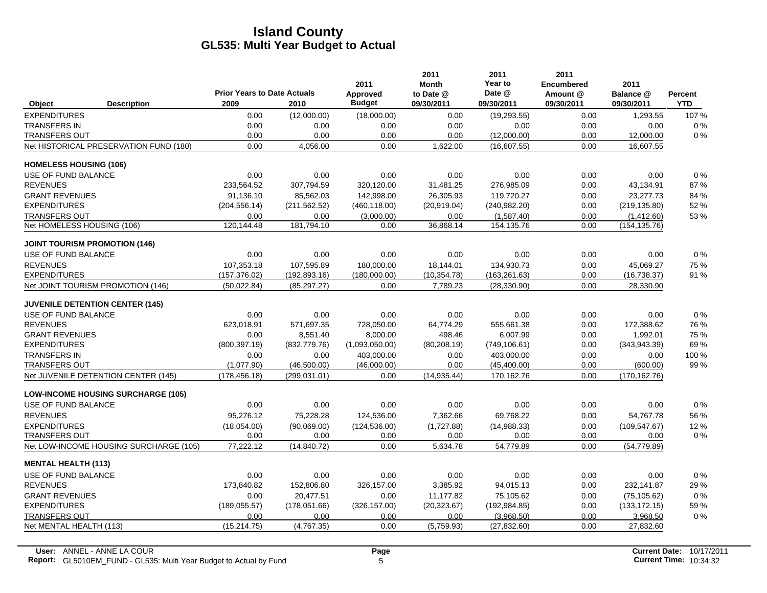|                               |                                           |                                            |               | 2011                      | 2011<br><b>Month</b>    | 2011<br>Year to      | 2011<br><b>Encumbered</b> | 2011                    |                              |
|-------------------------------|-------------------------------------------|--------------------------------------------|---------------|---------------------------|-------------------------|----------------------|---------------------------|-------------------------|------------------------------|
| Object                        | <b>Description</b>                        | <b>Prior Years to Date Actuals</b><br>2009 | 2010          | Approved<br><b>Budget</b> | to Date @<br>09/30/2011 | Date @<br>09/30/2011 | Amount @<br>09/30/2011    | Balance @<br>09/30/2011 | <b>Percent</b><br><b>YTD</b> |
| <b>EXPENDITURES</b>           |                                           | 0.00                                       | (12,000.00)   | (18,000.00)               | 0.00                    | (19, 293.55)         | 0.00                      | 1,293.55                | 107%                         |
| <b>TRANSFERS IN</b>           |                                           | 0.00                                       | 0.00          | 0.00                      | 0.00                    | 0.00                 | 0.00                      | 0.00                    | $0\%$                        |
| <b>TRANSFERS OUT</b>          |                                           | 0.00                                       | 0.00          | 0.00                      | 0.00                    | (12,000.00)          | 0.00                      | 12,000.00               | 0%                           |
|                               | Net HISTORICAL PRESERVATION FUND (180)    | 0.00                                       | 4,056.00      | 0.00                      | 1,622.00                | (16,607.55)          | 0.00                      | 16,607.55               |                              |
| <b>HOMELESS HOUSING (106)</b> |                                           |                                            |               |                           |                         |                      |                           |                         |                              |
| USE OF FUND BALANCE           |                                           | 0.00                                       | 0.00          | 0.00                      | 0.00                    | 0.00                 | 0.00                      | 0.00                    | $0\%$                        |
| <b>REVENUES</b>               |                                           | 233.564.52                                 | 307,794.59    | 320,120.00                | 31,481.25               | 276,985.09           | 0.00                      | 43,134.91               | 87%                          |
| <b>GRANT REVENUES</b>         |                                           | 91.136.10                                  | 85,562.03     | 142,998.00                | 26,305.93               | 119.720.27           | 0.00                      | 23,277.73               | 84 %                         |
| <b>EXPENDITURES</b>           |                                           | (204, 556.14)                              | (211, 562.52) | (460, 118.00)             | (20,919.04)             | (240, 982.20)        | 0.00                      | (219, 135.80)           | 52 %                         |
| <b>TRANSFERS OUT</b>          |                                           | 0.00                                       | 0.00          | (3,000.00)                | 0.00                    | (1,587.40)           | 0.00                      | (1,412.60)              | 53 %                         |
| Net HOMELESS HOUSING (106)    |                                           | 120, 144. 48                               | 181,794.10    | 0.00                      | 36,868.14               | 154, 135.76          | 0.00                      | (154, 135.76)           |                              |
|                               | <b>JOINT TOURISM PROMOTION (146)</b>      |                                            |               |                           |                         |                      |                           |                         |                              |
| USE OF FUND BALANCE           |                                           | 0.00                                       | 0.00          | 0.00                      | 0.00                    | 0.00                 | 0.00                      | 0.00                    | 0%                           |
| <b>REVENUES</b>               |                                           | 107.353.18                                 | 107,595.89    | 180.000.00                | 18.144.01               | 134.930.73           | 0.00                      | 45.069.27               | 75 %                         |
| <b>EXPENDITURES</b>           |                                           | (157, 376.02)                              | (192, 893.16) | (180,000.00)              | (10, 354.78)            | (163, 261.63)        | 0.00                      | (16,738.37)             | 91 %                         |
|                               | Net JOINT TOURISM PROMOTION (146)         | (50,022.84)                                | (85, 297.27)  | 0.00                      | 7,789.23                | (28, 330.90)         | 0.00                      | 28,330.90               |                              |
|                               | <b>JUVENILE DETENTION CENTER (145)</b>    |                                            |               |                           |                         |                      |                           |                         |                              |
| USE OF FUND BALANCE           |                                           | 0.00                                       | 0.00          | 0.00                      | 0.00                    | 0.00                 | 0.00                      | 0.00                    | 0%                           |
| <b>REVENUES</b>               |                                           | 623,018.91                                 | 571,697.35    | 728,050.00                | 64,774.29               | 555,661.38           | 0.00                      | 172,388.62              | 76 %                         |
| <b>GRANT REVENUES</b>         |                                           | 0.00                                       | 8,551.40      | 8,000.00                  | 498.46                  | 6.007.99             | 0.00                      | 1,992.01                | 75 %                         |
| <b>EXPENDITURES</b>           |                                           | (800, 397.19)                              | (832, 779.76) | (1,093,050.00)            | (80, 208.19)            | (749, 106.61)        | 0.00                      | (343.943.39)            | 69%                          |
| <b>TRANSFERS IN</b>           |                                           | 0.00                                       | 0.00          | 403,000.00                | 0.00                    | 403,000.00           | 0.00                      | 0.00                    | 100 %                        |
| <b>TRANSFERS OUT</b>          |                                           | (1,077.90)                                 | (46,500.00)   | (46,000.00)               | 0.00                    | (45, 400.00)         | 0.00                      | (600.00)                | 99 %                         |
|                               | Net JUVENILE DETENTION CENTER (145)       | (178, 456.18)                              | (299, 031.01) | 0.00                      | (14, 935.44)            | 170,162.76           | 0.00                      | (170, 162.76)           |                              |
|                               | <b>LOW-INCOME HOUSING SURCHARGE (105)</b> |                                            |               |                           |                         |                      |                           |                         |                              |
| USE OF FUND BALANCE           |                                           | 0.00                                       | 0.00          | 0.00                      | 0.00                    | 0.00                 | 0.00                      | 0.00                    | 0%                           |
| <b>REVENUES</b>               |                                           | 95,276.12                                  | 75,228.28     | 124,536.00                | 7,362.66                | 69,768.22            | 0.00                      | 54,767.78               | 56 %                         |
| <b>EXPENDITURES</b>           |                                           | (18,054.00)                                | (90,069,00)   | (124, 536.00)             | (1,727.88)              | (14,988.33)          | 0.00                      | (109, 547.67)           | 12%                          |
| <b>TRANSFERS OUT</b>          |                                           | 0.00                                       | 0.00          | 0.00                      | 0.00                    | 0.00                 | 0.00                      | 0.00                    | $0\%$                        |
|                               | Net LOW-INCOME HOUSING SURCHARGE (105)    | 77,222.12                                  | (14, 840.72)  | 0.00                      | 5.634.78                | 54.779.89            | 0.00                      | (54, 779.89)            |                              |
| <b>MENTAL HEALTH (113)</b>    |                                           |                                            |               |                           |                         |                      |                           |                         |                              |
| USE OF FUND BALANCE           |                                           | 0.00                                       | 0.00          | 0.00                      | 0.00                    | 0.00                 | 0.00                      | 0.00                    | $0\%$                        |
| <b>REVENUES</b>               |                                           | 173,840.82                                 | 152,806.80    | 326,157.00                | 3,385.92                | 94,015.13            | 0.00                      | 232,141.87              | 29 %                         |
| <b>GRANT REVENUES</b>         |                                           | 0.00                                       | 20,477.51     | 0.00                      | 11,177.82               | 75,105.62            | 0.00                      | (75, 105.62)            | 0%                           |
| <b>EXPENDITURES</b>           |                                           | (189, 055.57)                              | (178,051.66)  | (326, 157.00)             | (20, 323.67)            | (192, 984.85)        | 0.00                      | (133, 172.15)           | 59 %                         |
| <b>TRANSFERS OUT</b>          |                                           | 0.00                                       | 0.00          | 0.00                      | 0.00                    | (3,968.50)           | 0.00                      | 3,968.50                | 0%                           |
| Net MENTAL HEALTH (113)       |                                           | (15, 214.75)                               | (4,767.35)    | 0.00                      | (5,759.93)              | (27, 832.60)         | 0.00                      | 27,832.60               |                              |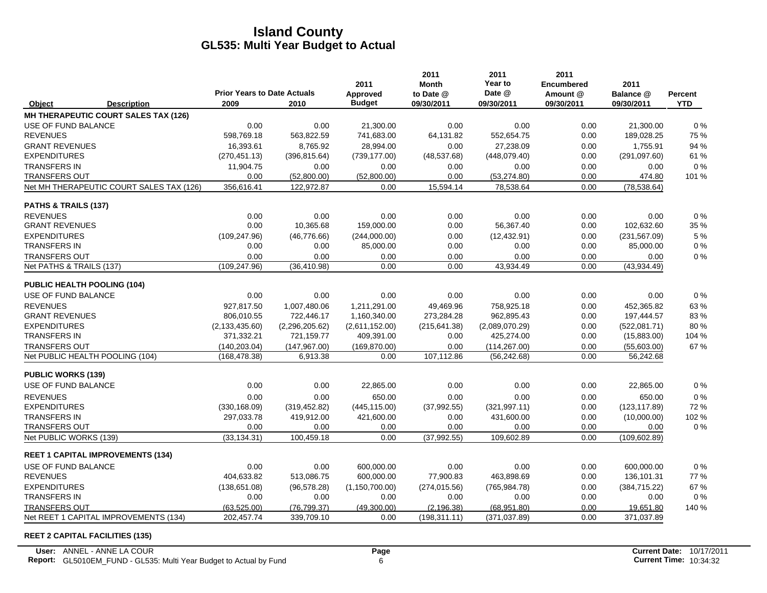|                            |                                          |                                            |                | 2011                      | 2011<br><b>Month</b>    | 2011<br>Year to      | 2011<br><b>Encumbered</b> | 2011                    |                       |
|----------------------------|------------------------------------------|--------------------------------------------|----------------|---------------------------|-------------------------|----------------------|---------------------------|-------------------------|-----------------------|
| Object                     | <b>Description</b>                       | <b>Prior Years to Date Actuals</b><br>2009 | 2010           | Approved<br><b>Budget</b> | to Date @<br>09/30/2011 | Date @<br>09/30/2011 | Amount @<br>09/30/2011    | Balance @<br>09/30/2011 | Percent<br><b>YTD</b> |
|                            | MH THERAPEUTIC COURT SALES TAX (126)     |                                            |                |                           |                         |                      |                           |                         |                       |
| USE OF FUND BALANCE        |                                          | 0.00                                       | 0.00           | 21,300.00                 | 0.00                    | 0.00                 | 0.00                      | 21,300.00               | $0\%$                 |
| <b>REVENUES</b>            |                                          | 598,769.18                                 | 563,822.59     | 741,683.00                | 64,131.82               | 552,654.75           | 0.00                      | 189,028.25              | 75 %                  |
| <b>GRANT REVENUES</b>      |                                          | 16.393.61                                  | 8,765.92       | 28.994.00                 | 0.00                    | 27.238.09            | 0.00                      | 1,755.91                | 94 %                  |
| <b>EXPENDITURES</b>        |                                          | (270, 451.13)                              | (396, 815.64)  | (739, 177.00)             | (48, 537.68)            | (448,079.40)         | 0.00                      | (291, 097.60)           | 61 %                  |
| <b>TRANSFERS IN</b>        |                                          | 11,904.75                                  | 0.00           | 0.00                      | 0.00                    | 0.00                 | 0.00                      | 0.00                    | 0%                    |
| <b>TRANSFERS OUT</b>       |                                          | 0.00                                       | (52,800.00)    | (52,800.00)               | 0.00                    | (53, 274.80)         | 0.00                      | 474.80                  | 101 %                 |
|                            | Net MH THERAPEUTIC COURT SALES TAX (126) | 356,616.41                                 | 122,972.87     | 0.00                      | 15,594.14               | 78,538.64            | 0.00                      | (78, 538.64)            |                       |
| PATHS & TRAILS (137)       |                                          |                                            |                |                           |                         |                      |                           |                         |                       |
| <b>REVENUES</b>            |                                          | 0.00                                       | 0.00           | 0.00                      | 0.00                    | 0.00                 | 0.00                      | 0.00                    | $0\%$                 |
| <b>GRANT REVENUES</b>      |                                          | 0.00                                       | 10,365.68      | 159,000.00                | 0.00                    | 56,367.40            | 0.00                      | 102,632.60              | 35 %                  |
| <b>EXPENDITURES</b>        |                                          | (109, 247.96)                              | (46, 776.66)   | (244,000.00)              | 0.00                    | (12, 432.91)         | 0.00                      | (231, 567.09)           | 5 %                   |
| <b>TRANSFERS IN</b>        |                                          | 0.00                                       | 0.00           | 85,000.00                 | 0.00                    | 0.00                 | 0.00                      | 85,000.00               | 0%                    |
| <b>TRANSFERS OUT</b>       |                                          | 0.00                                       | 0.00           | 0.00                      | 0.00                    | 0.00                 | 0.00                      | 0.00                    | 0%                    |
| Net PATHS & TRAILS (137)   |                                          | (109, 247.96)                              | (36, 410.98)   | 0.00                      | 0.00                    | 43,934.49            | 0.00                      | (43,934.49)             |                       |
|                            | PUBLIC HEALTH POOLING (104)              |                                            |                |                           |                         |                      |                           |                         |                       |
| USE OF FUND BALANCE        |                                          | 0.00                                       | 0.00           | 0.00                      | 0.00                    | 0.00                 | 0.00                      | 0.00                    | 0%                    |
| <b>REVENUES</b>            |                                          | 927,817.50                                 | 1.007.480.06   | 1,211,291.00              | 49.469.96               | 758.925.18           | 0.00                      | 452,365.82              | 63%                   |
| <b>GRANT REVENUES</b>      |                                          | 806,010.55                                 | 722,446.17     | 1,160,340.00              | 273,284.28              | 962,895.43           | 0.00                      | 197,444.57              | 83%                   |
| <b>EXPENDITURES</b>        |                                          | (2, 133, 435.60)                           | (2,296,205.62) | (2,611,152.00)            | (215, 641.38)           | (2,089,070.29)       | 0.00                      | (522,081.71)            | 80%                   |
| <b>TRANSFERS IN</b>        |                                          | 371,332.21                                 | 721,159.77     | 409,391.00                | 0.00                    | 425,274.00           | 0.00                      | (15,883.00)             | 104 %                 |
| <b>TRANSFERS OUT</b>       |                                          | (140, 203.04)                              | (147, 967.00)  | (169, 870.00)             | 0.00                    | (114, 267.00)        | 0.00                      | (55,603.00)             | 67 %                  |
|                            | Net PUBLIC HEALTH POOLING (104)          | (168, 478.38)                              | 6,913.38       | 0.00                      | 107,112.86              | (56, 242.68)         | 0.00                      | 56,242.68               |                       |
| <b>PUBLIC WORKS (139)</b>  |                                          |                                            |                |                           |                         |                      |                           |                         |                       |
| <b>USE OF FUND BALANCE</b> |                                          | 0.00                                       | 0.00           | 22,865.00                 | 0.00                    | 0.00                 | 0.00                      | 22,865.00               | $0\%$                 |
| <b>REVENUES</b>            |                                          | 0.00                                       | 0.00           | 650.00                    | 0.00                    | 0.00                 | 0.00                      | 650.00                  | 0%                    |
| <b>EXPENDITURES</b>        |                                          | (330, 168.09)                              | (319, 452.82)  | (445, 115.00)             | (37,992.55)             | (321, 997.11)        | 0.00                      | (123, 117.89)           | 72%                   |
| <b>TRANSFERS IN</b>        |                                          | 297,033.78                                 | 419,912.00     | 421,600.00                | 0.00                    | 431,600.00           | 0.00                      | (10,000.00)             | 102%                  |
| <b>TRANSFERS OUT</b>       |                                          | 0.00                                       | 0.00           | 0.00                      | 0.00                    | 0.00                 | 0.00                      | 0.00                    | 0%                    |
| Net PUBLIC WORKS (139)     |                                          | (33, 134.31)                               | 100,459.18     | 0.00                      | (37,992.55)             | 109,602.89           | 0.00                      | (109, 602.89)           |                       |
|                            | <b>REET 1 CAPITAL IMPROVEMENTS (134)</b> |                                            |                |                           |                         |                      |                           |                         |                       |
| USE OF FUND BALANCE        |                                          | 0.00                                       | 0.00           | 600,000.00                | 0.00                    | 0.00                 | 0.00                      | 600,000.00              | 0%                    |
| <b>REVENUES</b>            |                                          | 404,633.82                                 | 513,086.75     | 600,000.00                | 77,900.83               | 463,898.69           | 0.00                      | 136,101.31              | <b>77%</b>            |
| <b>EXPENDITURES</b>        |                                          | (138, 651.08)                              | (96, 578.28)   | (1, 150, 700.00)          | (274, 015.56)           | (765, 984.78)        | 0.00                      | (384, 715.22)           | 67%                   |
| <b>TRANSFERS IN</b>        |                                          | 0.00                                       | 0.00           | 0.00                      | 0.00                    | 0.00                 | 0.00                      | 0.00                    | $0\%$                 |
| <b>TRANSFERS OUT</b>       |                                          | (63, 525.00)                               | (76, 799.37)   | (49,300.00)               | (2, 196.38)             | (68,951.80)          | 0.00                      | 19,651.80               | 140 %                 |
|                            | Net REET 1 CAPITAL IMPROVEMENTS (134)    | 202,457.74                                 | 339,709.10     | 0.00                      | (198, 311, 11)          | (371, 037.89)        | 0.00                      | 371,037.89              |                       |

#### **REET 2 CAPITAL FACILITIES (135)**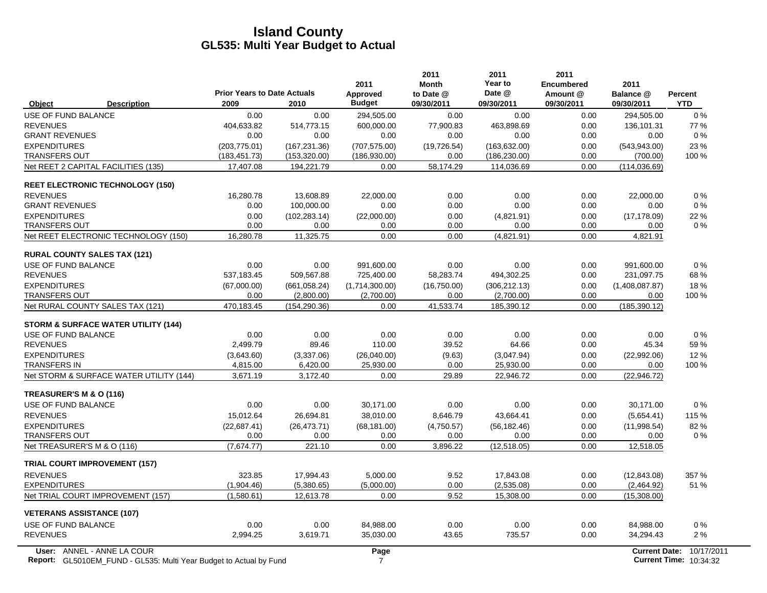|                                                                                                         | <b>Prior Years to Date Actuals</b> |               | 2011<br>Approved       | 2011<br><b>Month</b><br>to Date @ | 2011<br>Year to<br>Date @ | 2011<br><b>Encumbered</b><br>Amount @ | 2011<br>Balance @    | Percent                                     |
|---------------------------------------------------------------------------------------------------------|------------------------------------|---------------|------------------------|-----------------------------------|---------------------------|---------------------------------------|----------------------|---------------------------------------------|
| <b>Description</b><br>Object                                                                            | 2009                               | 2010          | <b>Budget</b>          | 09/30/2011                        | 09/30/2011                | 09/30/2011                            | 09/30/2011           | <b>YTD</b>                                  |
| <b>USE OF FUND BALANCE</b>                                                                              | 0.00                               | 0.00          | 294,505.00             | 0.00                              | 0.00                      | 0.00                                  | 294,505.00           | $0\%$                                       |
| <b>REVENUES</b>                                                                                         | 404,633.82                         | 514,773.15    | 600,000.00             | 77,900.83                         | 463,898.69                | 0.00                                  | 136,101.31           | 77 %                                        |
| <b>GRANT REVENUES</b>                                                                                   | 0.00                               | 0.00          | 0.00                   | 0.00                              | 0.00                      | 0.00                                  | 0.00                 | $0\%$                                       |
| <b>EXPENDITURES</b>                                                                                     | (203, 775.01)                      | (167, 231.36) | (707, 575.00)          | (19, 726.54)                      | (163, 632.00)             | 0.00                                  | (543.943.00)         | 23 %                                        |
| <b>TRANSFERS OUT</b>                                                                                    | (183, 451.73)                      | (153, 320.00) | (186, 930.00)          | 0.00                              | (186, 230.00)             | 0.00                                  | (700.00)             | 100 %                                       |
| Net REET 2 CAPITAL FACILITIES (135)                                                                     | 17,407.08                          | 194,221.79    | 0.00                   | 58,174.29                         | 114,036.69                | 0.00                                  | (114, 036.69)        |                                             |
| <b>REET ELECTRONIC TECHNOLOGY (150)</b>                                                                 |                                    |               |                        |                                   |                           |                                       |                      |                                             |
| <b>REVENUES</b>                                                                                         | 16,280.78                          | 13.608.89     | 22.000.00              | 0.00                              | 0.00                      | 0.00                                  | 22,000.00            | 0%                                          |
| <b>GRANT REVENUES</b>                                                                                   | 0.00                               | 100,000.00    | 0.00                   | 0.00                              | 0.00                      | 0.00                                  | 0.00                 | $0\%$                                       |
| <b>EXPENDITURES</b>                                                                                     | 0.00                               | (102, 283.14) | (22,000.00)            | 0.00                              | (4,821.91)                | 0.00                                  | (17, 178.09)         | 22 %                                        |
| <b>TRANSFERS OUT</b>                                                                                    | 0.00                               | 0.00          | 0.00                   | 0.00                              | 0.00                      | 0.00                                  | 0.00                 | $0\%$                                       |
| Net REET ELECTRONIC TECHNOLOGY (150)                                                                    | 16,280.78                          | 11,325.75     | 0.00                   | 0.00                              | (4,821.91)                | 0.00                                  | 4,821.91             |                                             |
| <b>RURAL COUNTY SALES TAX (121)</b>                                                                     |                                    |               |                        |                                   |                           |                                       |                      |                                             |
| USE OF FUND BALANCE                                                                                     | 0.00                               | 0.00          | 991,600.00             | 0.00                              | 0.00                      | 0.00                                  | 991,600.00           | $0\%$                                       |
| <b>REVENUES</b>                                                                                         | 537,183.45                         | 509,567.88    | 725,400.00             | 58,283.74                         | 494,302.25                | 0.00                                  | 231,097.75           | 68 %                                        |
| <b>EXPENDITURES</b>                                                                                     | (67,000.00)                        | (661,058.24)  | (1,714,300.00)         | (16,750.00)                       | (306, 212.13)             | 0.00                                  | (1,408,087.87)       | 18%                                         |
| <b>TRANSFERS OUT</b>                                                                                    | 0.00                               | (2,800.00)    | (2,700.00)             | 0.00                              | (2,700.00)                | 0.00                                  | 0.00                 | 100 %                                       |
| Net RURAL COUNTY SALES TAX (121)                                                                        | 470,183.45                         | (154, 290.36) | 0.00                   | 41,533.74                         | 185,390.12                | 0.00                                  | (185, 390.12)        |                                             |
| STORM & SURFACE WATER UTILITY (144)                                                                     |                                    |               |                        |                                   |                           |                                       |                      |                                             |
| USE OF FUND BALANCE                                                                                     | 0.00                               | 0.00          | 0.00                   | 0.00                              | 0.00                      | 0.00                                  | 0.00                 | $0\%$                                       |
| <b>REVENUES</b>                                                                                         | 2,499.79                           | 89.46         | 110.00                 | 39.52                             | 64.66                     | 0.00                                  | 45.34                | 59 %                                        |
| <b>EXPENDITURES</b>                                                                                     | (3,643.60)                         | (3,337.06)    | (26,040.00)            | (9.63)                            | (3,047.94)                | 0.00                                  | (22,992.06)          | 12%                                         |
| <b>TRANSFERS IN</b>                                                                                     | 4,815.00                           | 6,420.00      | 25,930.00              | 0.00                              | 25,930.00                 | 0.00                                  | 0.00                 | 100 %                                       |
| Net STORM & SURFACE WATER UTILITY (144)                                                                 | 3,671.19                           | 3,172.40      | 0.00                   | 29.89                             | 22,946.72                 | 0.00                                  | (22, 946.72)         |                                             |
| TREASURER'S M & O (116)                                                                                 |                                    |               |                        |                                   |                           |                                       |                      |                                             |
| USE OF FUND BALANCE                                                                                     | 0.00                               | 0.00          | 30.171.00              | 0.00                              | 0.00                      | 0.00                                  | 30.171.00            | 0%                                          |
| <b>REVENUES</b>                                                                                         | 15,012.64                          | 26,694.81     | 38,010.00              | 8,646.79                          | 43,664.41                 | 0.00                                  | (5,654.41)           | 115 %                                       |
| <b>EXPENDITURES</b>                                                                                     | (22, 687.41)                       | (26, 473.71)  | (68, 181.00)           | (4,750.57)                        | (56, 182.46)              | 0.00                                  | (11,998.54)          | 82%                                         |
| <b>TRANSFERS OUT</b>                                                                                    | 0.00                               | 0.00          | 0.00                   | 0.00                              | 0.00                      | 0.00                                  | 0.00                 | $0\%$                                       |
| Net TREASURER'S M & O (116)                                                                             | (7,674.77)                         | 221.10        | 0.00                   | 3,896.22                          | (12, 518.05)              | 0.00                                  | 12,518.05            |                                             |
| <b>TRIAL COURT IMPROVEMENT (157)</b>                                                                    |                                    |               |                        |                                   |                           |                                       |                      |                                             |
| <b>REVENUES</b>                                                                                         | 323.85                             | 17,994.43     | 5.000.00               | 9.52                              | 17,843.08                 | 0.00                                  | (12,843.08)          | 357 %                                       |
| <b>EXPENDITURES</b>                                                                                     | (1,904.46)                         | (5,380.65)    | (5,000.00)             | 0.00                              | (2,535.08)                | 0.00                                  | (2,464.92)           | 51 %                                        |
| Net TRIAL COURT IMPROVEMENT (157)                                                                       | (1,580.61)                         | 12,613.78     | 0.00                   | 9.52                              | 15,308.00                 | 0.00                                  | (15,308.00)          |                                             |
| <b>VETERANS ASSISTANCE (107)</b>                                                                        |                                    |               |                        |                                   |                           |                                       |                      |                                             |
| USE OF FUND BALANCE                                                                                     | 0.00                               | 0.00          | 84.988.00              | 0.00                              | 0.00                      | 0.00                                  | 84,988.00            | 0%                                          |
| <b>REVENUES</b>                                                                                         | 2,994.25                           | 3,619.71      | 35,030.00              | 43.65                             | 735.57                    | 0.00                                  | 34,294.43            | 2%                                          |
| User: ANNEL - ANNE LA COUR<br><b>Report:</b> GL5010EM FUND - GL535: Multi Year Budget to Actual by Fund |                                    |               | Page<br>$\overline{7}$ |                                   |                           |                                       | <b>Current Date:</b> | 10/17/2011<br><b>Current Time: 10:34:32</b> |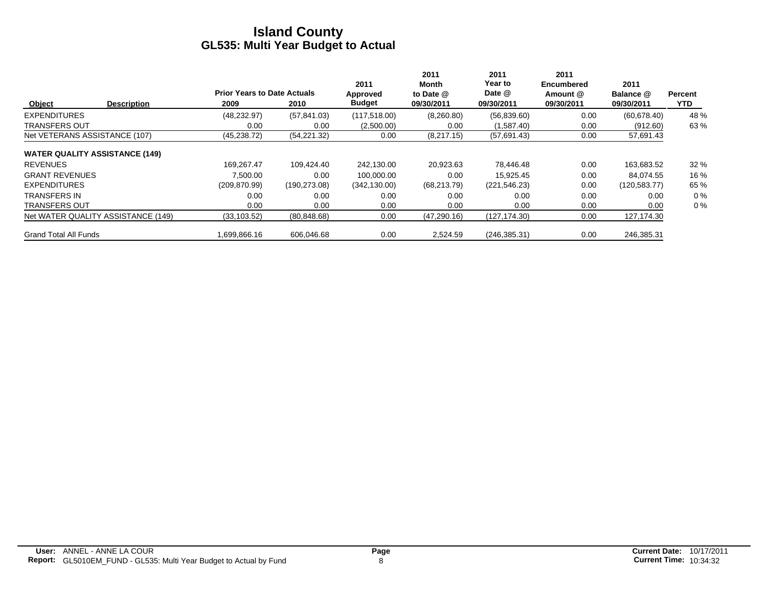|                                       |                    | <b>Prior Years to Date Actuals</b> |               | 2011<br>Approved | 2011<br>Month<br>to Date @ | 2011<br>Year to<br>Date @ | 2011<br><b>Encumbered</b><br>Amount @ | 2011<br>Balance @ | Percent |
|---------------------------------------|--------------------|------------------------------------|---------------|------------------|----------------------------|---------------------------|---------------------------------------|-------------------|---------|
| Object                                | <b>Description</b> | 2009                               | 2010          | <b>Budget</b>    | 09/30/2011                 | 09/30/2011                | 09/30/2011                            | 09/30/2011        | YTD.    |
| <b>EXPENDITURES</b>                   |                    | (48, 232.97)                       | (57, 841.03)  | (117, 518.00)    | (8,260.80)                 | (56,839.60)               | 0.00                                  | (60, 678.40)      | 48 %    |
| <b>TRANSFERS OUT</b>                  |                    | 0.00                               | 0.00          | (2,500.00)       | 0.00                       | (1,587.40)                | 0.00                                  | (912.60)          | 63 %    |
| Net VETERANS ASSISTANCE (107)         |                    | (45, 238.72)                       | (54, 221.32)  | 0.00             | (8,217.15)                 | (57,691.43)               | 0.00                                  | 57,691.43         |         |
| <b>WATER QUALITY ASSISTANCE (149)</b> |                    |                                    |               |                  |                            |                           |                                       |                   |         |
| <b>REVENUES</b>                       |                    | 169.267.47                         | 109.424.40    | 242.130.00       | 20,923.63                  | 78,446.48                 | 0.00                                  | 163,683.52        | 32%     |
| <b>GRANT REVENUES</b>                 |                    | 7.500.00                           | 0.00          | 100.000.00       | 0.00                       | 15.925.45                 | 0.00                                  | 84.074.55         | 16 %    |
| <b>EXPENDITURES</b>                   |                    | (209, 870.99)                      | (190, 273.08) | (342, 130.00)    | (68, 213.79)               | (221, 546.23)             | 0.00                                  | (120, 583.77)     | 65 %    |
| <b>TRANSFERS IN</b>                   |                    | 0.00                               | 0.00          | 0.00             | 0.00                       | 0.00                      | 0.00                                  | 0.00              | $0\%$   |
| <b>TRANSFERS OUT</b>                  |                    | 0.00                               | 0.00          | 0.00             | 0.00                       | 0.00                      | 0.00                                  | 0.00              | $0\%$   |
| Net WATER QUALITY ASSISTANCE (149)    |                    | (33, 103.52)                       | (80, 848.68)  | 0.00             | (47, 290.16)               | (127, 174.30)             | 0.00                                  | 127,174.30        |         |
| <b>Grand Total All Funds</b>          |                    | 1.699.866.16                       | 606.046.68    | 0.00             | 2.524.59                   | (246, 385.31)             | 0.00                                  | 246.385.31        |         |